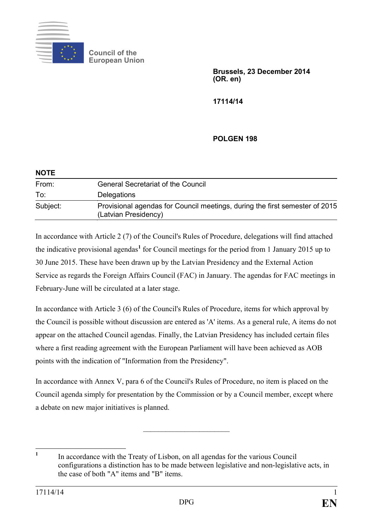

**Council of the European Union**

> **Brussels, 23 December 2014 (OR. en)**

**17114/14**

# **POLGEN 198**

| <b>NOTE</b> |                                                                                                     |
|-------------|-----------------------------------------------------------------------------------------------------|
| From:       | <b>General Secretariat of the Council</b>                                                           |
| To:         | Delegations                                                                                         |
| Subject:    | Provisional agendas for Council meetings, during the first semester of 2015<br>(Latvian Presidency) |

In accordance with Article 2 (7) of the Council's Rules of Procedure, delegations will find attached the indicative provisional agendas**[1](#page-0-0)** for Council meetings for the period from 1 January 2015 up to 30 June 2015. These have been drawn up by the Latvian Presidency and the External Action Service as regards the Foreign Affairs Council (FAC) in January. The agendas for FAC meetings in February-June will be circulated at a later stage.

In accordance with Article 3 (6) of the Council's Rules of Procedure, items for which approval by the Council is possible without discussion are entered as 'A' items. As a general rule, A items do not appear on the attached Council agendas. Finally, the Latvian Presidency has included certain files where a first reading agreement with the European Parliament will have been achieved as AOB points with the indication of "Information from the Presidency".

In accordance with Annex V, para 6 of the Council's Rules of Procedure, no item is placed on the Council agenda simply for presentation by the Commission or by a Council member, except where a debate on new major initiatives is planned.

 $\overline{\phantom{a}}$  , where  $\overline{\phantom{a}}$  , where  $\overline{\phantom{a}}$  , where  $\overline{\phantom{a}}$ 

<span id="page-0-0"></span>**<sup>1</sup>** In accordance with the Treaty of Lisbon, on all agendas for the various Council configurations a distinction has to be made between legislative and non-legislative acts, in the case of both "A" items and "B" items.  $\mathbf{1}$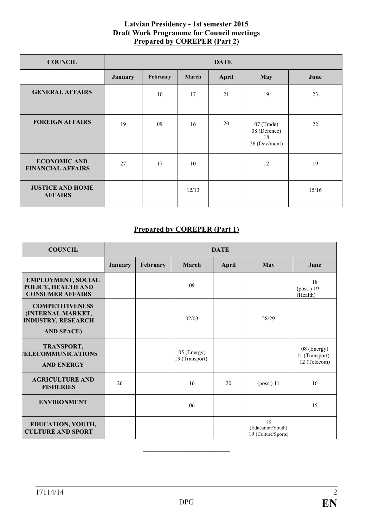## **Latvian Presidency - 1st semester 2015 Draft Work Programme for Council meetings Prepared by COREPER (Part 2)**

| <b>COUNCIL</b>                                  |                | <b>DATE</b> |       |       |                                                   |       |
|-------------------------------------------------|----------------|-------------|-------|-------|---------------------------------------------------|-------|
|                                                 | <b>January</b> | February    | March | April | <b>May</b>                                        | June  |
| <b>GENERAL AFFAIRS</b>                          |                | 10          | 17    | 21    | 19                                                | 23    |
| <b>FOREIGN AFFAIRS</b>                          | 19             | 09          | 16    | 20    | 07 (Trade)<br>08 (Defence)<br>18<br>26 (Dev/ment) | 22    |
| <b>ECONOMIC AND</b><br><b>FINANCIAL AFFAIRS</b> | 27             | 17          | 10    |       | 12                                                | 19    |
| <b>JUSTICE AND HOME</b><br><b>AFFAIRS</b>       |                |             | 12/13 |       |                                                   | 15/16 |

# **Prepared by COREPER (Part 1)**

| <b>COUNCIL</b>                                                                                       | <b>DATE</b>    |          |                               |       |                                                |                                               |  |
|------------------------------------------------------------------------------------------------------|----------------|----------|-------------------------------|-------|------------------------------------------------|-----------------------------------------------|--|
|                                                                                                      | <b>January</b> | February | March                         | April | May                                            | June                                          |  |
| <b>EMPLOYMENT, SOCIAL</b><br>POLICY, HEALTH AND<br><b>CONSUMER AFFAIRS</b>                           |                |          | 09                            |       |                                                | 18<br>(poss.) 19<br>(Health)                  |  |
| <b>COMPETITIVENESS</b><br><b>(INTERNAL MARKET,</b><br><b>INDUSTRY, RESEARCH</b><br><b>AND SPACE)</b> |                |          | 02/03                         |       | 28/29                                          |                                               |  |
| TRANSPORT,<br><b>ELECOMMUNICATIONS</b><br><b>AND ENERGY</b>                                          |                |          | 05 (Energy)<br>13 (Transport) |       |                                                | 08 (Energy)<br>11 (Transport)<br>12 (Telecom) |  |
| <b>AGRICULTURE AND</b><br><b>FISHERIES</b>                                                           | 26             |          | 16                            | 20    | $(poss.)$ 11                                   | 16                                            |  |
| <b>ENVIRONMENT</b>                                                                                   |                |          | 06                            |       |                                                | 15                                            |  |
| EDUCATION, YOUTH,<br><b>CULTURE AND SPORT</b>                                                        |                |          |                               |       | 18<br>(Education/Youth)<br>19 (Culture/Sports) |                                               |  |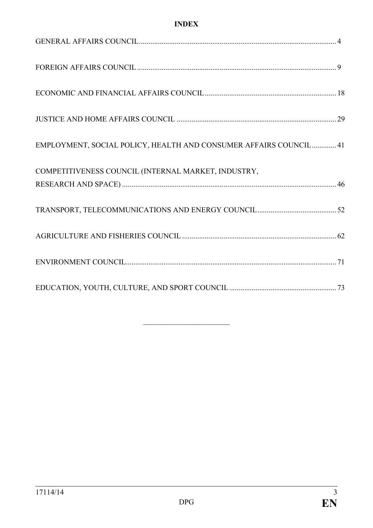# **INDEX**

| EMPLOYMENT, SOCIAL POLICY, HEALTH AND CONSUMER AFFAIRS COUNCIL 41 |  |
|-------------------------------------------------------------------|--|
| COMPETITIVENESS COUNCIL (INTERNAL MARKET, INDUSTRY,               |  |
|                                                                   |  |
|                                                                   |  |
|                                                                   |  |
|                                                                   |  |
|                                                                   |  |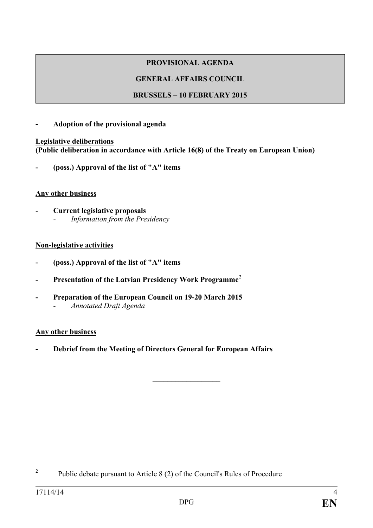# **GENERAL AFFAIRS COUNCIL**

# **BRUSSELS – 10 FEBRUARY 2015**

# **- Adoption of the provisional agenda**

### **Legislative deliberations (Public deliberation in accordance with Article 16(8) of the Treaty on European Union)**

**- (poss.) Approval of the list of "A" items** 

# **Any other business**

*-* **Current legislative proposals** *- Information from the Presidency*

### **Non-legislative activities**

- **- (poss.) Approval of the list of "A" items**
- **- Presentation of the Latvian Presidency Work Programme**[2](#page-3-0)
- **- Preparation of the European Council on 19-20 March 2015** *- Annotated Draft Agenda*

# **Any other business**

**- Debrief from the Meeting of Directors General for European Affairs** 

 $\frac{1}{2}$  ,  $\frac{1}{2}$  ,  $\frac{1}{2}$  ,  $\frac{1}{2}$  ,  $\frac{1}{2}$  ,  $\frac{1}{2}$  ,  $\frac{1}{2}$ 

<span id="page-3-0"></span>**<sup>2</sup>** Public debate pursuant to Article 8 (2) of the Council's Rules of Procedure  $\overline{2}$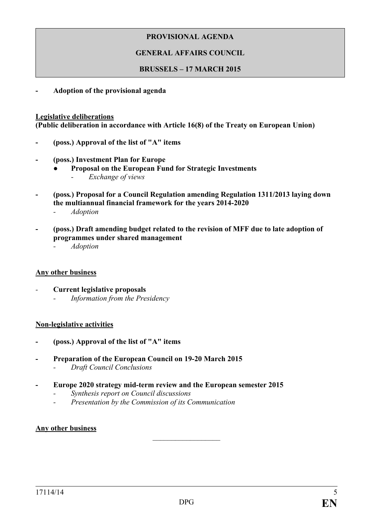## **GENERAL AFFAIRS COUNCIL**

#### **BRUSSELS – 17 MARCH 2015**

**- Adoption of the provisional agenda**

#### **Legislative deliberations**

**(Public deliberation in accordance with Article 16(8) of the Treaty on European Union)**

- **- (poss.) Approval of the list of "A" items**
- **- (poss.) Investment Plan for Europe** 
	- **● Proposal on the European Fund for Strategic Investments** *- Exchange of views*
- **- (poss***.***) Proposal for a Council Regulation amending Regulation 1311/2013 laying down the multiannual financial framework for the years 2014-2020**  *- Adoption*
- **- (poss.) Draft amending budget related to the revision of MFF due to late adoption of programmes under shared management**
	- *- Adoption*

#### **Any other business**

*-* **Current legislative proposals** *- Information from the Presidency*

#### **Non-legislative activities**

- **- (poss.) Approval of the list of "A" items**
- **- Preparation of the European Council on 19-20 March 2015**
	- *- Draft Council Conclusions*
- **- Europe 2020 strategy mid-term review and the European semester 2015**
	- *- Synthesis report on Council discussions*
	- *- Presentation by the Commission of its Communication*

#### **Any other business**

 $\frac{1}{2}$  ,  $\frac{1}{2}$  ,  $\frac{1}{2}$  ,  $\frac{1}{2}$  ,  $\frac{1}{2}$  ,  $\frac{1}{2}$  ,  $\frac{1}{2}$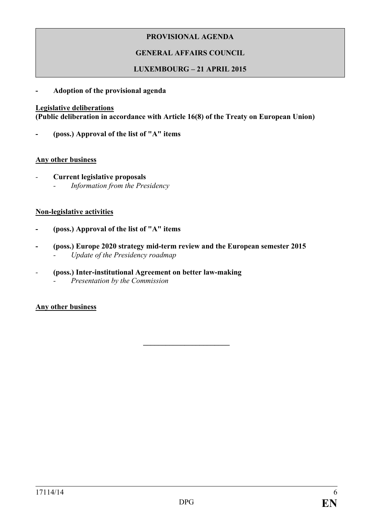# **GENERAL AFFAIRS COUNCIL**

## **LUXEMBOURG – 21 APRIL 2015**

#### **- Adoption of the provisional agenda**

#### **Legislative deliberations**

**(Public deliberation in accordance with Article 16(8) of the Treaty on European Union)**

**- (poss.) Approval of the list of "A" items**

#### **Any other business**

*-* **Current legislative proposals** *- Information from the Presidency*

#### **Non-legislative activities**

- **- (poss.) Approval of the list of "A" items**
- **- (poss.) Europe 2020 strategy mid-term review and the European semester 2015** *- Update of the Presidency roadmap*
- *-* **(poss.) Inter-institutional Agreement on better law-making** *- Presentation by the Commission*

**Any other business**

**\_\_\_\_\_\_\_\_\_\_\_\_\_\_\_\_\_\_\_\_\_\_\_**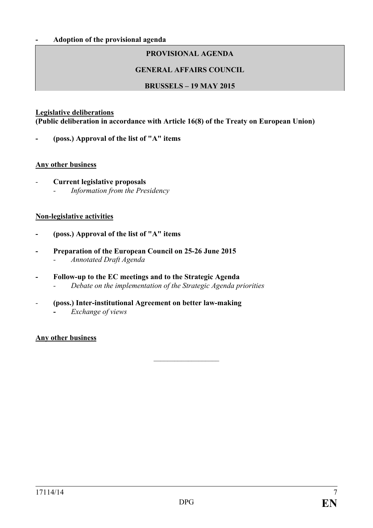### **GENERAL AFFAIRS COUNCIL**

### **BRUSSELS – 19 MAY 2015**

#### **Legislative deliberations**

**(Public deliberation in accordance with Article 16(8) of the Treaty on European Union)**

**- (poss.) Approval of the list of "A" items**

#### **Any other business**

*-* **Current legislative proposals**  *- Information from the Presidency*

#### **Non-legislative activities**

- **- (poss.) Approval of the list of "A" items**
- **- Preparation of the European Council on 25-26 June 2015**
	- *- Annotated Draft Agenda*
- **- Follow-up to the EC meetings and to the Strategic Agenda** *- Debate on the implementation of the Strategic Agenda priorities*
- *-* **(poss.) Inter-institutional Agreement on better law-making -** *Exchange of views*

#### **Any other business**

 $\frac{1}{2}$  ,  $\frac{1}{2}$  ,  $\frac{1}{2}$  ,  $\frac{1}{2}$  ,  $\frac{1}{2}$  ,  $\frac{1}{2}$  ,  $\frac{1}{2}$  ,  $\frac{1}{2}$  ,  $\frac{1}{2}$  ,  $\frac{1}{2}$  ,  $\frac{1}{2}$  ,  $\frac{1}{2}$  ,  $\frac{1}{2}$  ,  $\frac{1}{2}$  ,  $\frac{1}{2}$  ,  $\frac{1}{2}$  ,  $\frac{1}{2}$  ,  $\frac{1}{2}$  ,  $\frac{1$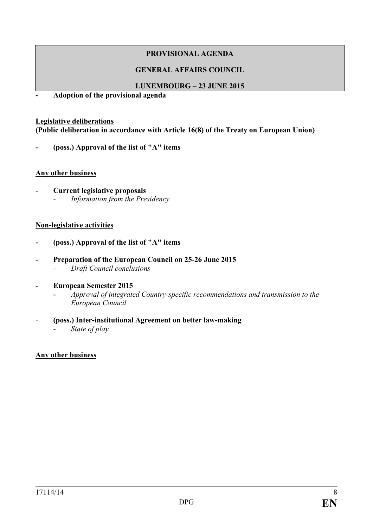## **GENERAL AFFAIRS COUNCIL**

### **LUXEMBOURG – 23 JUNE 2015**

**- Adoption of the provisional agenda**

#### **Legislative deliberations**

**(Public deliberation in accordance with Article 16(8) of the Treaty on European Union)**

**- (poss.) Approval of the list of "A" items**

#### **Any other business**

*-* **Current legislative proposals**  *- Information from the Presidency*

### **Non-legislative activities**

- **- (poss.) Approval of the list of "A" items**
- **- Preparation of the European Council on 25-26 June 2015** *- Draft Council conclusions*
- **- European Semester 2015**
	- **-** *Approval of integrated Country-specific recommendations and transmission to the European Council*
- *-* **(poss.) Inter-institutional Agreement on better law-making** 
	- *- State of play*

# **Any other business**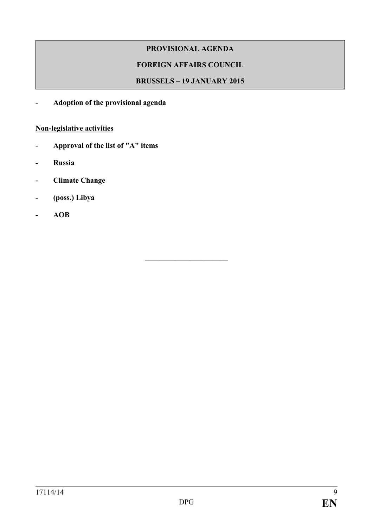# **FOREIGN AFFAIRS COUNCIL**

## **BRUSSELS – 19 JANUARY 2015**

 $\overline{\phantom{a}}$  , which is a set of the set of the set of the set of the set of the set of the set of the set of the set of the set of the set of the set of the set of the set of the set of the set of the set of the set of th

**- Adoption of the provisional agenda**

# **Non-legislative activities**

- **- Approval of the list of "A" items**
- **- Russia**
- **- Climate Change**
- **- (poss.) Libya**
- **- AOB**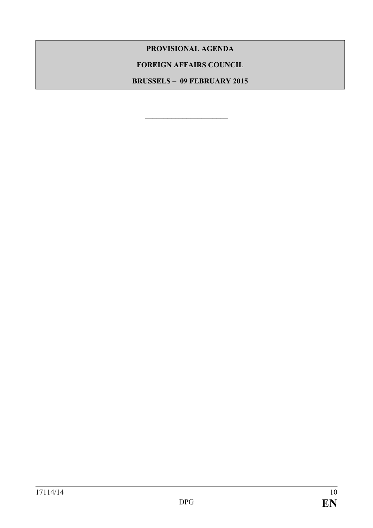## **FOREIGN AFFAIRS COUNCIL**

**BRUSSELS – 09 FEBRUARY 2015**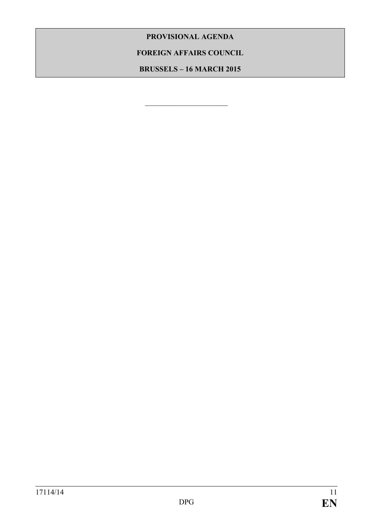# **FOREIGN AFFAIRS COUNCIL**

**BRUSSELS – 16 MARCH 2015**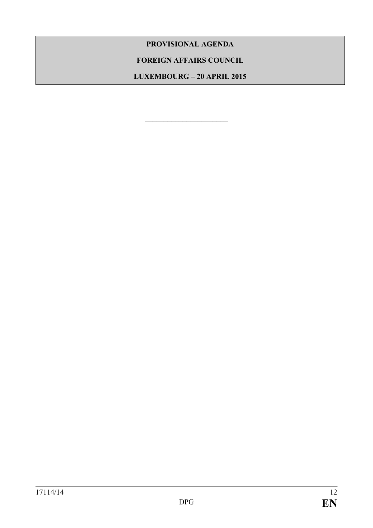# **FOREIGN AFFAIRS COUNCIL**

**LUXEMBOURG – 20 APRIL 2015**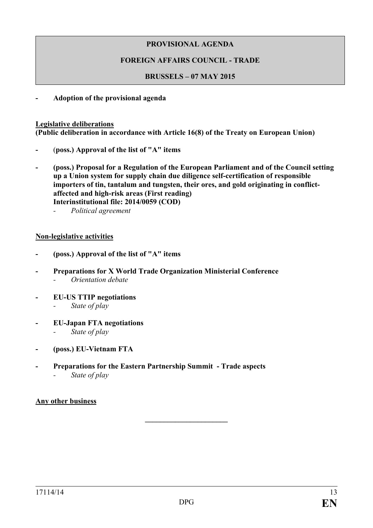# **FOREIGN AFFAIRS COUNCIL - TRADE**

## **BRUSSELS – 07 MAY 2015**

**- Adoption of the provisional agenda**

#### **Legislative deliberations**

**(Public deliberation in accordance with Article 16(8) of the Treaty on European Union)**

- **-** (**poss.) Approval of the list of "A" items**
- **- (poss.) Proposal for a Regulation of the European Parliament and of the Council setting up a Union system for supply chain due diligence self-certification of responsible importers of tin, tantalum and tungsten, their ores, and gold originating in conflictaffected and high-risk areas (First reading) Interinstitutional file: 2014/0059 (COD)**
	- *- Political agreement*

### **Non-legislative activities**

- **- (poss.) Approval of the list of "A" items**
- **- Preparations for X World Trade Organization Ministerial Conference** *- Orientation debate*
- **- EU-US TTIP negotiations**
	- *- State of play*
- **- EU-Japan FTA negotiations**
	- *- State of play*
- **- (poss.) EU-Vietnam FTA**
- **- Preparations for the Eastern Partnership Summit - Trade aspects**
	- *- State of play*

# **Any other business**

**\_\_\_\_\_\_\_\_\_\_\_\_\_\_\_\_\_\_\_\_\_\_**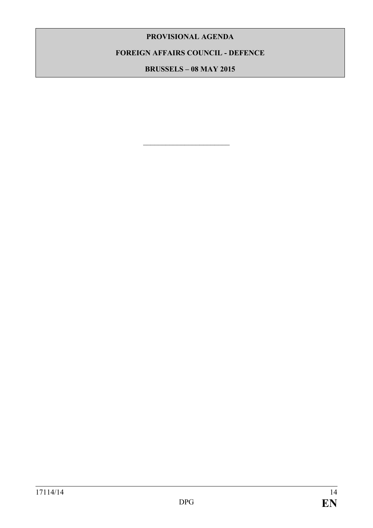**FOREIGN AFFAIRS COUNCIL - DEFENCE**

**BRUSSELS – 08 MAY 2015**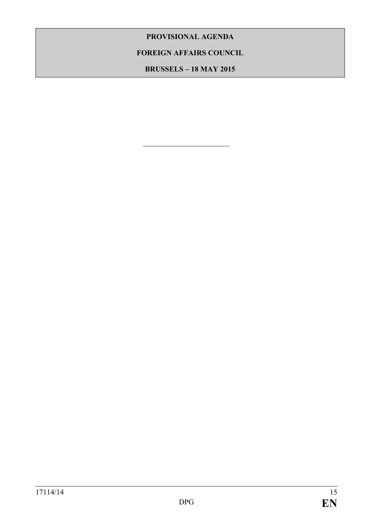# **FOREIGN AFFAIRS COUNCIL**

**BRUSSELS – 18 MAY 2015**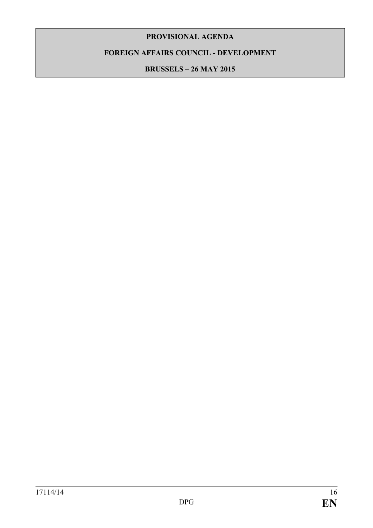# **FOREIGN AFFAIRS COUNCIL - DEVELOPMENT**

**BRUSSELS – 26 MAY 2015**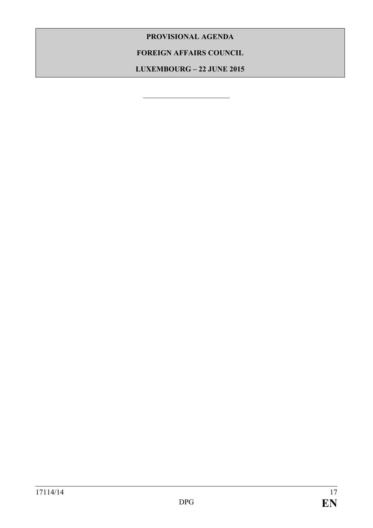**FOREIGN AFFAIRS COUNCIL** 

**LUXEMBOURG – 22 JUNE 2015**

\_\_\_\_\_\_\_\_\_\_\_\_\_\_\_\_\_\_\_\_\_\_\_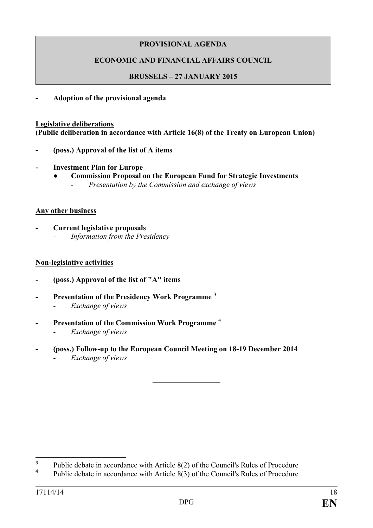# **ECONOMIC AND FINANCIAL AFFAIRS COUNCIL**

# **BRUSSELS – 27 JANUARY 2015**

**- Adoption of the provisional agenda**

#### **Legislative deliberations**

**(Public deliberation in accordance with Article 16(8) of the Treaty on European Union)**

- **- (poss.) Approval of the list of A items**
- **- Investment Plan for Europe**
	- **● Commission Proposal on the European Fund for Strategic Investments** *- Presentation by the Commission and exchange of views*

#### **Any other business**

**- Current legislative proposals** *- Information from the Presidency*

#### **Non-legislative activities**

- **- (poss.) Approval of the list of "A" items**
- **- Presentation of the Presidency Work Programme** [3](#page-17-0) *- Exchange of views*
- **- Presentation of the Commission Work Programme** [4](#page-17-1)
	- *- Exchange of views*
- **- (poss.) Follow-up to the European Council Meeting on 18-19 December 2014**
	- *- Exchange of views*

 $\frac{1}{2}$  ,  $\frac{1}{2}$  ,  $\frac{1}{2}$  ,  $\frac{1}{2}$  ,  $\frac{1}{2}$  ,  $\frac{1}{2}$  ,  $\frac{1}{2}$ 

<span id="page-17-0"></span><sup>&</sup>lt;sup>3</sup> Public debate in accordance with Article 8(2) of the Council's Rules of Procedure  $\mathbf{3}$ 

<span id="page-17-1"></span>**<sup>4</sup>** Public debate in accordance with Article 8(3) of the Council's Rules of Procedure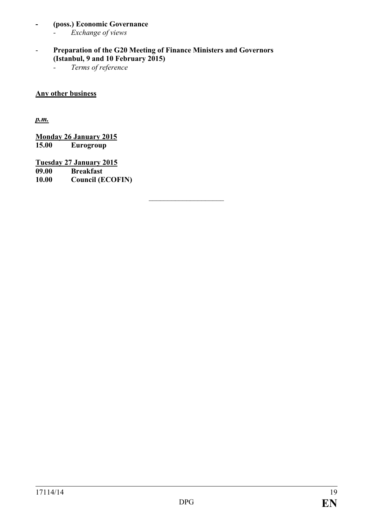# **- (poss.) Economic Governance**

- *- Exchange of views*
- **Preparation of the G20 Meeting of Finance Ministers and Governors (Istanbul, 9 and 10 February 2015)**

 $\overline{\phantom{a}}$  , and the set of the set of the set of the set of the set of the set of the set of the set of the set of the set of the set of the set of the set of the set of the set of the set of the set of the set of the s

*- Terms of reference*

## **Any other business**

*p.m.*

**Monday 26 January 2015 15.00 Eurogroup**

**Tuesday 27 January 2015 09.00 Breakfast 10.00 Council (ECOFIN)**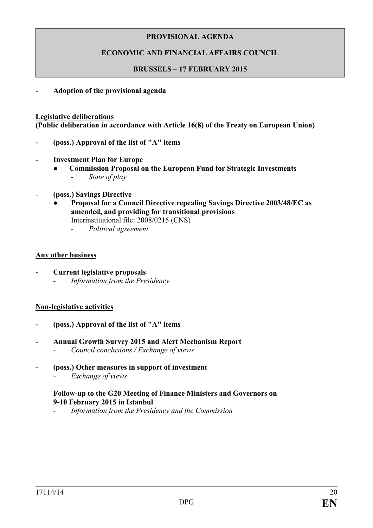# **ECONOMIC AND FINANCIAL AFFAIRS COUNCIL**

### **BRUSSELS – 17 FEBRUARY 2015**

**- Adoption of the provisional agenda**

#### **Legislative deliberations**

**(Public deliberation in accordance with Article 16(8) of the Treaty on European Union)**

- **- (poss.) Approval of the list of "A" items**
- **- Investment Plan for Europe**
	- **● Commission Proposal on the European Fund for Strategic Investments** *- State of play*
- **- (poss.) Savings Directive**
	- **● Proposal for a Council Directive repealing Savings Directive 2003/48/EC as amended, and providing for transitional provisions** Interinstitutional file: 2008/0215 (CNS)
		- *- Political agreement*

#### **Any other business**

- **- Current legislative proposals** *- Information from the Presidency*
	-

# **Non-legislative activities**

- **- (poss.) Approval of the list of "A" items**
- **- Annual Growth Survey 2015 and Alert Mechanism Report** *- Council conclusions / Exchange of views*
- **- (poss.) Other measures in support of investment** 
	- *- Exchange of views*
- *-* **Follow-up to the G20 Meeting of Finance Ministers and Governors on 9-10 February 2015 in Istanbul**
	- *- Information from the Presidency and the Commission*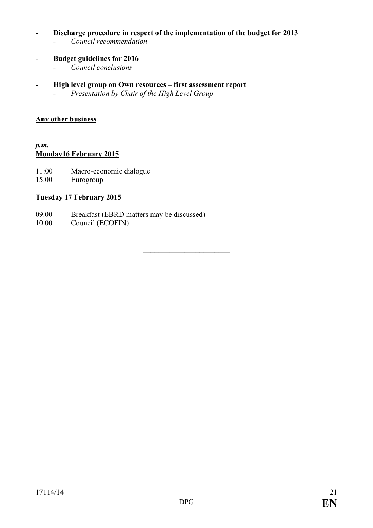## **- Discharge procedure in respect of the implementation of the budget for 2013**

- *- Council recommendation*
- **- Budget guidelines for 2016**
	- *- Council conclusions*
- **- High level group on Own resources – first assessment report**
	- *- Presentation by Chair of the High Level Group*

### **Any other business**

#### *p.m.* **Monday16 February 2015**

- 11:00 Macro-economic dialogue
- 15.00 Eurogroup

# **Tuesday 17 February 2015**

- 09.00 Breakfast (EBRD matters may be discussed)<br>10.00 Council (ECOFIN)
- Council (ECOFIN)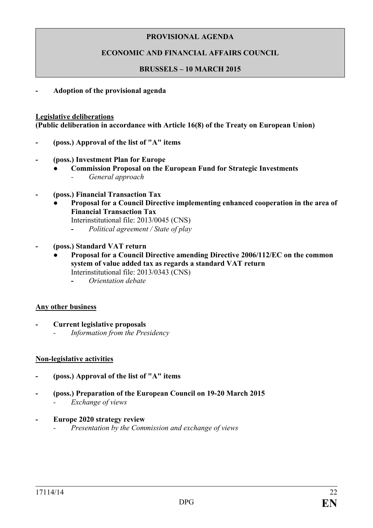# **ECONOMIC AND FINANCIAL AFFAIRS COUNCIL**

### **BRUSSELS – 10 MARCH 2015**

**- Adoption of the provisional agenda**

#### **Legislative deliberations**

**(Public deliberation in accordance with Article 16(8) of the Treaty on European Union)**

- **- (poss.) Approval of the list of "A" items**
- **- (poss.) Investment Plan for Europe**
	- **● Commission Proposal on the European Fund for Strategic Investments** *- General approach*
- **- (poss.) Financial Transaction Tax**
	- **Proposal for a Council Directive implementing enhanced cooperation in the area of Financial Transaction Tax**

Interinstitutional file: 2013/0045 (CNS)

- **-** *Political agreement / State of play*
- **- (poss.) Standard VAT return**
	- **● Proposal for a Council Directive amending Directive 2006/112/EC on the common system of value added tax as regards a standard VAT return** Interinstitutional file: 2013/0343 (CNS)
		- **-** *Orientation debate*

#### **Any other business**

- **- Current legislative proposals**
	- *- Information from the Presidency*

#### **Non-legislative activities**

- **- (poss.) Approval of the list of "A" items**
- **- (poss.) Preparation of the European Council on 19-20 March 2015** *- Exchange of views*
- **- Europe 2020 strategy review**
	- *- Presentation by the Commission and exchange of views*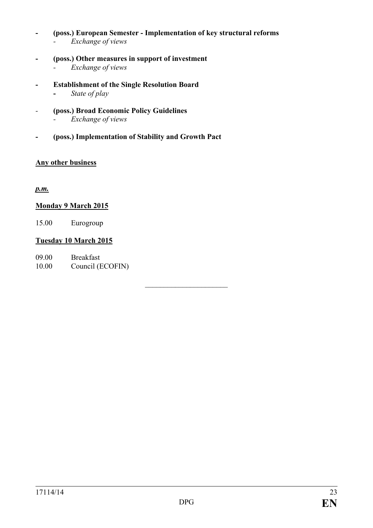- **- (poss.) European Semester - Implementation of key structural reforms** *- Exchange of views*
- **- (poss.) Other measures in support of investment** *- Exchange of views*
- **- Establishment of the Single Resolution Board -** *State of play*
- *-* **(poss.) Broad Economic Policy Guidelines** *- Exchange of views*
	-
- **- (poss.) Implementation of Stability and Growth Pact**

# **Any other business**

*p.m.*

# **Monday 9 March 2015**

15.00 Eurogroup

# **Tuesday 10 March 2015**

09.00 Breakfast 10.00 Council (ECOFIN)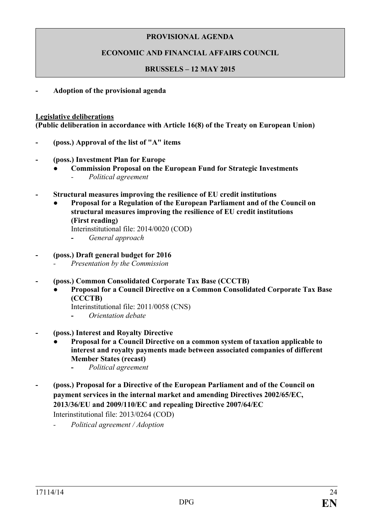# **ECONOMIC AND FINANCIAL AFFAIRS COUNCIL**

### **BRUSSELS – 12 MAY 2015**

**- Adoption of the provisional agenda**

#### **Legislative deliberations**

**(Public deliberation in accordance with Article 16(8) of the Treaty on European Union)**

- **- (poss.) Approval of the list of "A" items**
- **- (poss.) Investment Plan for Europe**
	- **● Commission Proposal on the European Fund for Strategic Investments** *- Political agreement*
- **- Structural measures improving the resilience of EU credit institutions**
	- *●* **Proposal for a Regulation of the European Parliament and of the Council on structural measures improving the resilience of EU credit institutions (First reading)**

Interinstitutional file: 2014/0020 (COD)

- **-** *General approach*
- **- (poss.) Draft general budget for 2016**
	- *- Presentation by the Commission*
- **- (poss.) Common Consolidated Corporate Tax Base (CCCTB)**
	- **● Proposal for a Council Directive on a Common Consolidated Corporate Tax Base (CCCTB)** 
		- Interinstitutional file: 2011/0058 (CNS)
		- **-** *Orientation debate*
- **- (poss.) Interest and Royalty Directive**
	- **● Proposal for a Council Directive on a common system of taxation applicable to interest and royalty payments made between associated companies of different Member States (recast)**
		- **-** *Political agreement*
- **- (poss.) Proposal for a Directive of the European Parliament and of the Council on payment services in the internal market and amending Directives 2002/65/EC, 2013/36/EU and 2009/110/EC and repealing Directive 2007/64/EC**

Interinstitutional file: 2013/0264 (COD)

*- Political agreement / Adoption*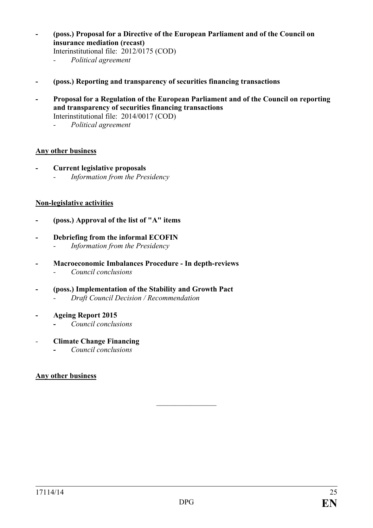**- (poss.) Proposal for a Directive of the European Parliament and of the Council on insurance mediation (recast)**

Interinstitutional file: 2012/0175 (COD)

- *- Political agreement*
- **- (poss.) Reporting and transparency of securities financing transactions**
- **- Proposal for a Regulation of the European Parliament and of the Council on reporting and transparency of securities financing transactions** Interinstitutional file: 2014/0017 (COD)
	- *- Political agreement*

#### **Any other business**

**- Current legislative proposals** *- Information from the Presidency*

#### **Non-legislative activities**

- **- (poss.) Approval of the list of "A" items**
- **- Debriefing from the informal ECOFIN**
	- *- Information from the Presidency*
- **- Macroeconomic Imbalances Procedure - In depth-reviews**
	- *- Council conclusions*
- **- (poss.) Implementation of the Stability and Growth Pact** *- Draft Council Decision / Recommendation*
- **- Ageing Report 2015**
	- **-** *Council conclusions*
- *-* **Climate Change Financing**
	- **-** *Council conclusions*

#### **Any other business**

 $\frac{1}{2}$  ,  $\frac{1}{2}$  ,  $\frac{1}{2}$  ,  $\frac{1}{2}$  ,  $\frac{1}{2}$  ,  $\frac{1}{2}$  ,  $\frac{1}{2}$  ,  $\frac{1}{2}$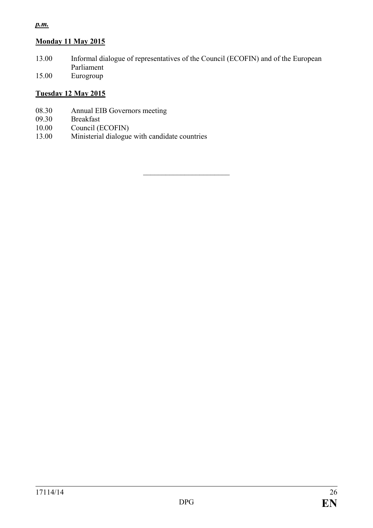# *p.m.*

# **Monday 11 May 2015**

13.00 Informal dialogue of representatives of the Council (ECOFIN) and of the European Parliament

 $\overline{\phantom{a}}$  , and the set of the set of the set of the set of the set of the set of the set of the set of the set of the set of the set of the set of the set of the set of the set of the set of the set of the set of the s

15.00 Eurogroup

# **Tuesday 12 May 2015**

- 08.30 Annual EIB Governors meeting<br>09.30 Breakfast
- 09.30 Breakfast<br>10.00 Council (E
- Council (ECOFIN)
- 13.00 Ministerial dialogue with candidate countries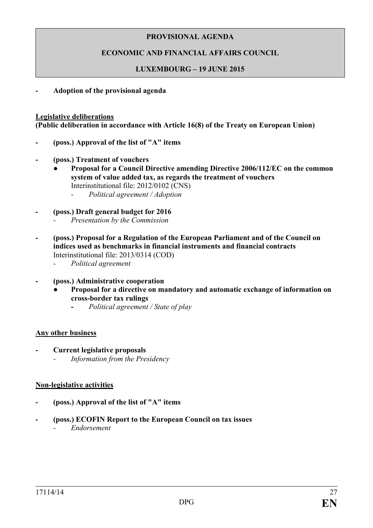# **ECONOMIC AND FINANCIAL AFFAIRS COUNCIL**

## **LUXEMBOURG – 19 JUNE 2015**

**- Adoption of the provisional agenda**

#### **Legislative deliberations**

**(Public deliberation in accordance with Article 16(8) of the Treaty on European Union)**

- **- (poss.) Approval of the list of "A" items**
- **- (poss.) Treatment of vouchers**
	- **● Proposal for a Council Directive amending Directive 2006/112/EC on the common system of value added tax, as regards the treatment of vouchers** Interinstitutional file: 2012/0102 (CNS)
		- *- Political agreement / Adoption*
- **- (poss.) Draft general budget for 2016**
	- *- Presentation by the Commission*
- **- (poss.) Proposal for a Regulation of the European Parliament and of the Council on indices used as benchmarks in financial instruments and financial contracts** Interinstitutional file: 2013/0314 (COD)
	- *- Political agreement*
- **- (poss.) Administrative cooperation**
	- **Proposal for a directive on mandatory and automatic exchange of information on cross-border tax rulings**
		- **-** *Political agreement / State of play*

#### **Any other business**

- **- Current legislative proposals**
	- *- Information from the Presidency*

#### **Non-legislative activities**

- **- (poss.) Approval of the list of "A" items**
- **- (poss.) ECOFIN Report to the European Council on tax issues**
	- *- Endorsement*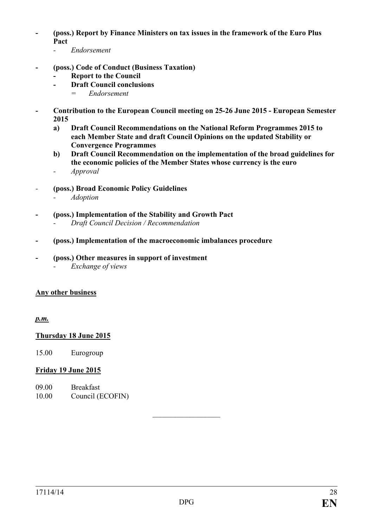- **- (poss.) Report by Finance Ministers on tax issues in the framework of the Euro Plus Pact**
	- *- Endorsement*
- **- (poss.) Code of Conduct (Business Taxation)**
	- **- Report to the Council**
		- **- Draft Council conclusions**
			- *= Endorsement*
- **- Contribution to the European Council meeting on 25-26 June 2015 - European Semester 2015**
	- **a) Draft Council Recommendations on the National Reform Programmes 2015 to each Member State and draft Council Opinions on the updated Stability or Convergence Programmes**
	- **b) Draft Council Recommendation on the implementation of the broad guidelines for the economic policies of the Member States whose currency is the euro** *- Approval*
- *-* **(poss.) Broad Economic Policy Guidelines**
	- *- Adoption*
- **- (poss.) Implementation of the Stability and Growth Pact** 
	- *- Draft Council Decision / Recommendation*
- **- (poss.) Implementation of the macroeconomic imbalances procedure**
- **- (poss.) Other measures in support of investment** 
	- *- Exchange of views*

#### **Any other business**

*p.m.*

#### **Thursday 18 June 2015**

15.00 Eurogroup

#### **Friday 19 June 2015**

- 09.00 Breakfast
- 10.00 Council (ECOFIN)

 $\frac{1}{2}$  ,  $\frac{1}{2}$  ,  $\frac{1}{2}$  ,  $\frac{1}{2}$  ,  $\frac{1}{2}$  ,  $\frac{1}{2}$  ,  $\frac{1}{2}$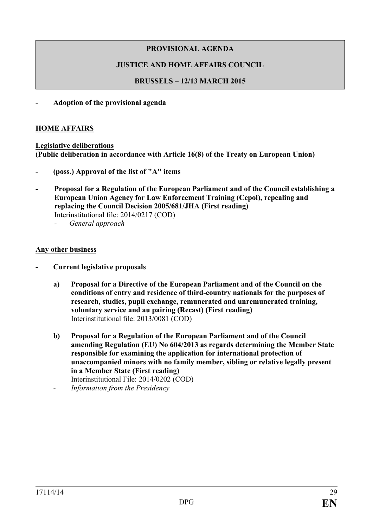# **JUSTICE AND HOME AFFAIRS COUNCIL**

# **BRUSSELS – 12/13 MARCH 2015**

### **- Adoption of the provisional agenda**

### **HOME AFFAIRS**

#### **Legislative deliberations (Public deliberation in accordance with Article 16(8) of the Treaty on European Union)**

- **- (poss.) Approval of the list of "A" items**
- **- Proposal for a Regulation of the European Parliament and of the Council establishing a European Union Agency for Law Enforcement Training (Cepol), repealing and replacing the Council Decision 2005/681/JHA (First reading)** Interinstitutional file: 2014/0217 (COD)
	- *- General approach*

### **Any other business**

- **- Current legislative proposals**
	- **a) Proposal for a Directive of the European Parliament and of the Council on the conditions of entry and residence of third-country nationals for the purposes of research, studies, pupil exchange, remunerated and unremunerated training, voluntary service and au pairing (Recast) (First reading)** Interinstitutional file: 2013/0081 (COD)
	- **b) Proposal for a Regulation of the European Parliament and of the Council amending Regulation (EU) No 604/2013 as regards determining the Member State responsible for examining the application for international protection of unaccompanied minors with no family member, sibling or relative legally present in a Member State (First reading)** Interinstitutional File: 2014/0202 (COD)
	- *- Information from the Presidency*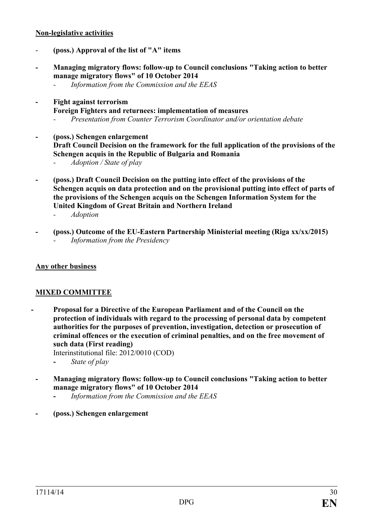### **Non-legislative activities**

- **(poss.) Approval of the list of "A" items**
- **- Managing migratory flows: follow-up to Council conclusions "Taking action to better manage migratory flows" of 10 October 2014**
	- *- Information from the Commission and the EEAS*
- **- Fight against terrorism**
	- **Foreign Fighters and returnees: implementation of measures**
		- *- Presentation from Counter Terrorism Coordinator and/or orientation debate*
- **- (poss.) Schengen enlargement Draft Council Decision on the framework for the full application of the provisions of the Schengen acquis in the Republic of Bulgaria and Romania**
	- *- Adoption / State of play*
- **- (poss.) Draft Council Decision on the putting into effect of the provisions of the Schengen acquis on data protection and on the provisional putting into effect of parts of the provisions of the Schengen acquis on the Schengen Information System for the United Kingdom of Great Britain and Northern Ireland**
	- *- Adoption*
- **- (poss.) Outcome of the EU-Eastern Partnership Ministerial meeting (Riga xx/xx/2015)** *- Information from the Presidency*

## **Any other business**

# **MIXED COMMITTEE**

**- Proposal for a Directive of the European Parliament and of the Council on the protection of individuals with regard to the processing of personal data by competent authorities for the purposes of prevention, investigation, detection or prosecution of criminal offences or the execution of criminal penalties, and on the free movement of such data (First reading)**

Interinstitutional file: 2012/0010 (COD)

- **-** *State of play*
- **- Managing migratory flows: follow-up to Council conclusions "Taking action to better manage migratory flows" of 10 October 2014**
	- **-** *Information from the Commission and the EEAS*
- **- (poss.) Schengen enlargement**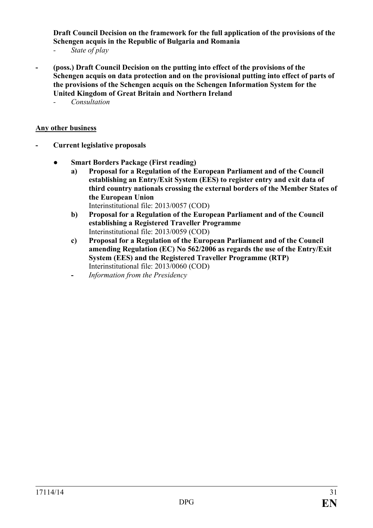**Draft Council Decision on the framework for the full application of the provisions of the Schengen acquis in the Republic of Bulgaria and Romania**

*- State of play*

- **- (poss.) Draft Council Decision on the putting into effect of the provisions of the Schengen acquis on data protection and on the provisional putting into effect of parts of the provisions of the Schengen acquis on the Schengen Information System for the United Kingdom of Great Britain and Northern Ireland**
	- *- Consultation*

#### **Any other business**

- **- Current legislative proposals**
	- **● Smart Borders Package (First reading)**
		- **a) Proposal for a Regulation of the European Parliament and of the Council establishing an Entry/Exit System (EES) to register entry and exit data of third country nationals crossing the external borders of the Member States of the European Union** 
			- Interinstitutional file: 2013/0057 (COD)
		- **b) Proposal for a Regulation of the European Parliament and of the Council establishing a Registered Traveller Programme** Interinstitutional file: 2013/0059 (COD)
		- **c) Proposal for a Regulation of the European Parliament and of the Council amending Regulation (EC) No 562/2006 as regards the use of the Entry/Exit System (EES) and the Registered Traveller Programme (RTP)**  Interinstitutional file: 2013/0060 (COD)
		- **-** *Information from the Presidency*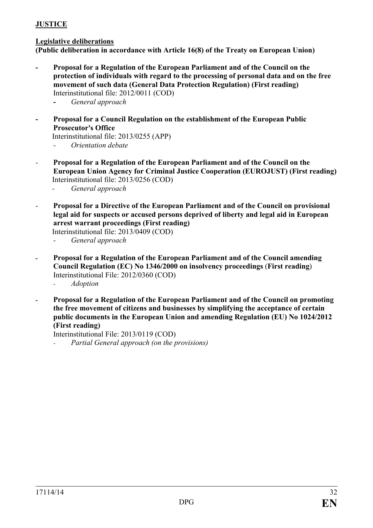# **JUSTICE**

## **Legislative deliberations**

**(Public deliberation in accordance with Article 16(8) of the Treaty on European Union)**

- **- Proposal for a Regulation of the European Parliament and of the Council on the protection of individuals with regard to the processing of personal data and on the free movement of such data (General Data Protection Regulation) (First reading)** Interinstitutional file: 2012/0011 (COD)
	- **-** *General approach*
- **- Proposal for a Council Regulation on the establishment of the European Public Prosecutor's Office**

Interinstitutional file: 2013/0255 (APP) *- Orientation debate*

*-* **Proposal for a Regulation of the European Parliament and of the Council on the European Union Agency for Criminal Justice Cooperation (EUROJUST) (First reading)** Interinstitutional file: 2013/0256 (COD)

*- General approach*

*-* **Proposal for a Directive of the European Parliament and of the Council on provisional legal aid for suspects or accused persons deprived of liberty and legal aid in European arrest warrant proceedings (First reading)**

Interinstitutional file: 2013/0409 (COD)

- *- General approach*
- **- Proposal for a Regulation of the European Parliament and of the Council amending Council Regulation (EC) No 1346/2000 on insolvency proceedings** (**First reading**) Interinstitutional File: 2012/0360 (COD)
	- *- Adoption*
- **- Proposal for a Regulation of the European Parliament and of the Council on promoting the free movement of citizens and businesses by simplifying the acceptance of certain public documents in the European Union and amending Regulation (EU) No 1024/2012 (First reading)**

Interinstitutional File: 2013/0119 (COD)

*- Partial General approach (on the provisions)*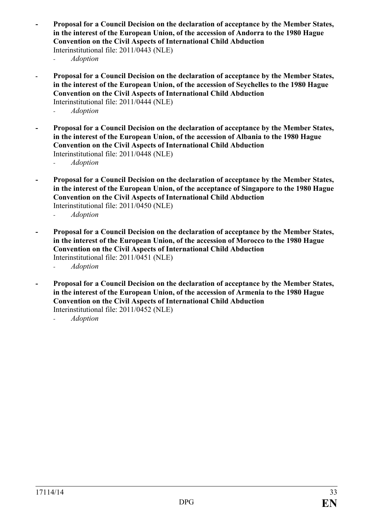- **- Proposal for a Council Decision on the declaration of acceptance by the Member States, in the interest of the European Union, of the accession of Andorra to the 1980 Hague Convention on the Civil Aspects of International Child Abduction** Interinstitutional file: 2011/0443 (NLE) *- Adoption*
- **- Proposal for a Council Decision on the declaration of acceptance by the Member States, in the interest of the European Union, of the accession of Seychelles to the 1980 Hague Convention on the Civil Aspects of International Child Abduction** Interinstitutional file: 2011/0444 (NLE) *- Adoption*
- **- Proposal for a Council Decision on the declaration of acceptance by the Member States, in the interest of the European Union, of the accession of Albania to the 1980 Hague Convention on the Civil Aspects of International Child Abduction** Interinstitutional file: 2011/0448 (NLE)
	- *- Adoption*
- **- Proposal for a Council Decision on the declaration of acceptance by the Member States, in the interest of the European Union, of the acceptance of Singapore to the 1980 Hague Convention on the Civil Aspects of International Child Abduction** Interinstitutional file: 2011/0450 (NLE)
	- *- Adoption*
- **- Proposal for a Council Decision on the declaration of acceptance by the Member States, in the interest of the European Union, of the accession of Morocco to the 1980 Hague Convention on the Civil Aspects of International Child Abduction** Interinstitutional file: 2011/0451 (NLE)
	- *- Adoption*
- **- Proposal for a Council Decision on the declaration of acceptance by the Member States, in the interest of the European Union, of the accession of Armenia to the 1980 Hague Convention on the Civil Aspects of International Child Abduction** Interinstitutional file: 2011/0452 (NLE)
	- *- Adoption*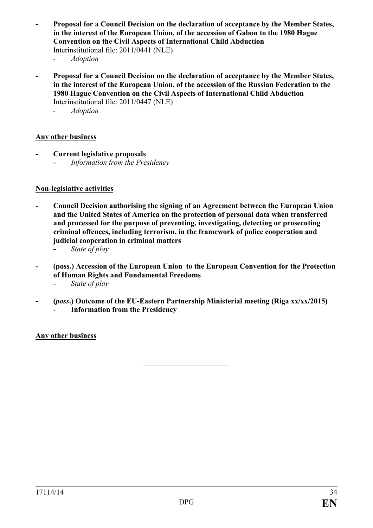- **- Proposal for a Council Decision on the declaration of acceptance by the Member States, in the interest of the European Union, of the accession of Gabon to the 1980 Hague Convention on the Civil Aspects of International Child Abduction** Interinstitutional file: 2011/0441 (NLE)
	- *- Adoption*
- **- Proposal for a Council Decision on the declaration of acceptance by the Member States, in the interest of the European Union, of the accession of the Russian Federation to the 1980 Hague Convention on the Civil Aspects of International Child Abduction** Interinstitutional file: 2011/0447 (NLE)
	- *- Adoption*

#### **Any other business**

- **- Current legislative proposals**
	- **-** *Information from the Presidency*

#### **Non-legislative activities**

- **- Council Decision authorising the signing of an Agreement between the European Union and the United States of America on the protection of personal data when transferred and processed for the purpose of preventing, investigating, detecting or prosecuting criminal offences, including terrorism, in the framework of police cooperation and judicial cooperation in criminal matters**
	- **-** *State of play*
- **- (poss.) Accession of the European Union to the European Convention for the Protection of Human Rights and Fundamental Freedoms**
	- **-** *State of play*
- **- (***poss***.) Outcome of the EU-Eastern Partnership Ministerial meeting (Riga xx/xx/2015)** *-* **Information from the Presidency**

 $\overline{\phantom{a}}$  , which is a set of the set of the set of the set of the set of the set of the set of the set of the set of the set of the set of the set of the set of the set of the set of the set of the set of the set of th

#### **Any other business**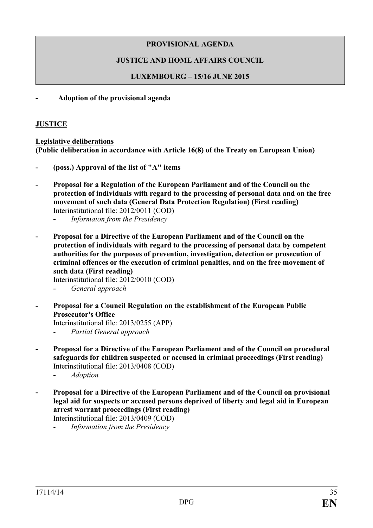# **JUSTICE AND HOME AFFAIRS COUNCIL**

# **LUXEMBOURG – 15/16 JUNE 2015**

**- Adoption of the provisional agenda**

# **JUSTICE**

**Legislative deliberations (Public deliberation in accordance with Article 16(8) of the Treaty on European Union)**

- **- (poss.) Approval of the list of "A" items**
- **- Proposal for a Regulation of the European Parliament and of the Council on the protection of individuals with regard to the processing of personal data and on the free movement of such data (General Data Protection Regulation) (First reading)** Interinstitutional file: 2012/0011 (COD)
	- **-** *Informaion from the Presidency*
- **- Proposal for a Directive of the European Parliament and of the Council on the protection of individuals with regard to the processing of personal data by competent authorities for the purposes of prevention, investigation, detection or prosecution of criminal offences or the execution of criminal penalties, and on the free movement of such data (First reading)**

Interinstitutional file: 2012/0010 (COD)

- **-** *General approach*
- **- Proposal for a Council Regulation on the establishment of the European Public Prosecutor's Office**

Interinstitutional file: 2013/0255 (APP)

- *- Partial General approach*
- **- Proposal for a Directive of the European Parliament and of the Council on procedural safeguards for children suspected or accused in criminal proceedings** (**First reading)** Interinstitutional file: 2013/0408 (COD)
	- **-** *Adoption*
- **- Proposal for a Directive of the European Parliament and of the Council on provisional legal aid for suspects or accused persons deprived of liberty and legal aid in European arrest warrant proceedings (First reading)**

Interinstitutional file: 2013/0409 (COD)

*- Information from the Presidency*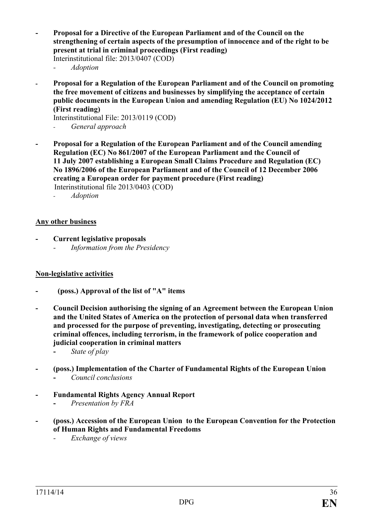- **- Proposal for a Directive of the European Parliament and of the Council on the strengthening of certain aspects of the presumption of innocence and of the right to be present at trial in criminal proceedings (First reading)**  Interinstitutional file: 2013/0407 (COD)
	- *- Adoption*
- **- Proposal for a Regulation of the European Parliament and of the Council on promoting the free movement of citizens and businesses by simplifying the acceptance of certain public documents in the European Union and amending Regulation (EU) No 1024/2012 (First reading)**

Interinstitutional File: 2013/0119 (COD)

- *- General approach*
- **- Proposal for a Regulation of the European Parliament and of the Council amending Regulation (EC) No 861/2007 of the European Parliament and the Council of 11 July 2007 establishing a European Small Claims Procedure and Regulation (EC) No 1896/2006 of the European Parliament and of the Council of 12 December 2006 creating a European order for payment procedure (First reading)** Interinstitutional file 2013/0403 (COD)
	- *- Adoption*

#### **Any other business**

- **- Current legislative proposals**
	- *- Information from the Presidency*

#### **Non-legislative activities**

- **- (poss.) Approval of the list of "A" items**
- **- Council Decision authorising the signing of an Agreement between the European Union and the United States of America on the protection of personal data when transferred and processed for the purpose of preventing, investigating, detecting or prosecuting criminal offences, including terrorism, in the framework of police cooperation and judicial cooperation in criminal matters**
	- **-** *State of play*
- **- (poss.) Implementation of the Charter of Fundamental Rights of the European Union -** *Council conclusions*
- **- Fundamental Rights Agency Annual Report**
	- **-** *Presentation by FRA*
- **- (poss.) Accession of the European Union to the European Convention for the Protection of Human Rights and Fundamental Freedoms**
	- *- Exchange of views*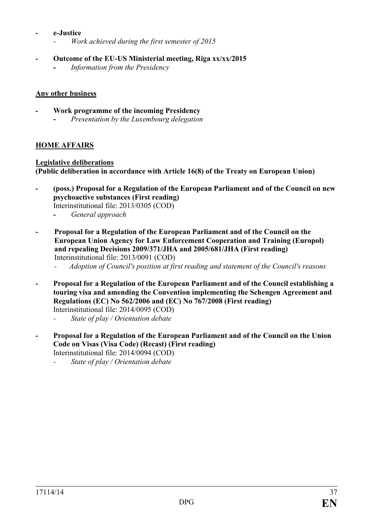### **- e-Justice**

- *- Work achieved during the first semester of 2015*
- **- Outcome of the EU-US Ministerial meeting, Riga xx/xx/2015** 
	- **-** *Information from the Presidency*

# **Any other business**

- **- Work programme of the incoming Presidency**
	- **-** *Presentation by the Luxembourg delegation*

# **HOME AFFAIRS**

# **Legislative deliberations**

**(Public deliberation in accordance with Article 16(8) of the Treaty on European Union)**

- **- (poss.) Proposal for a Regulation of the European Parliament and of the Council on new psychoactive substances (First reading)** Interinstitutional file: 2013/0305 (COD)
	- **-** *General approach*
- **- Proposal for a Regulation of the European Parliament and of the Council on the European Union Agency for Law Enforcement Cooperation and Training (Europol) and repealing Decisions 2009/371/JHA and 2005/681/JHA (First reading)** Interinstitutional file: 2013/0091 (COD)
	- *- Adoption of Council's position at first reading and statement of the Council's reasons*
- **- Proposal for a Regulation of the European Parliament and of the Council establishing a touring visa and amending the Convention implementing the Schengen Agreement and Regulations (EC) No 562/2006 and (EC) No 767/2008 (First reading)**  Interinstitutional file: 2014/0095 (COD)
	- *- State of play / Orientation debate*
- **- Proposal for a Regulation of the European Parliament and of the Council on the Union Code on Visas (Visa Code) (Recast) (First reading)**  Interinstitutional file: 2014/0094 (COD)
	- *- State of play / Orientation debate*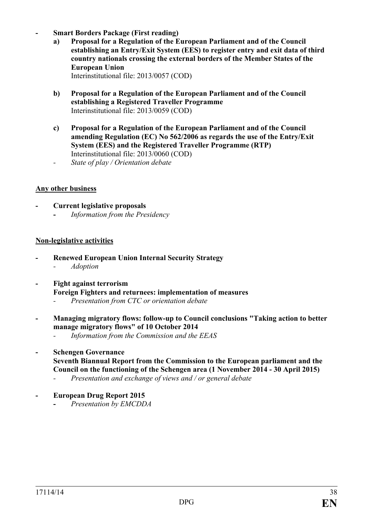- **- Smart Borders Package (First reading)**
	- **a) Proposal for a Regulation of the European Parliament and of the Council establishing an Entry/Exit System (EES) to register entry and exit data of third country nationals crossing the external borders of the Member States of the European Union** Interinstitutional file: 2013/0057 (COD)
	- **b) Proposal for a Regulation of the European Parliament and of the Council establishing a Registered Traveller Programme** Interinstitutional file: 2013/0059 (COD)
	- **c) Proposal for a Regulation of the European Parliament and of the Council amending Regulation (EC) No 562/2006 as regards the use of the Entry/Exit System (EES) and the Registered Traveller Programme (RTP)** Interinstitutional file: 2013/0060 (COD)
	- *- State of play / Orientation debate*

# **Any other business**

**- Current legislative proposals -** *Information from the Presidency*

# **Non-legislative activities**

- **- Renewed European Union Internal Security Strategy**  *- Adoption*
- **- Fight against terrorism Foreign Fighters and returnees: implementation of measures**
	- *- Presentation from CTC or orientation debate*
- **- Managing migratory flows: follow-up to Council conclusions "Taking action to better manage migratory flows" of 10 October 2014**
	- *- Information from the Commission and the EEAS*
- **- Schengen Governance Seventh Biannual Report from the Commission to the European parliament and the Council on the functioning of the Schengen area (1 November 2014 - 30 April 2015)** *- Presentation and exchange of views and / or general debate*
- **- European Drug Report 2015**
	- **-** *Presentation by EMCDDA*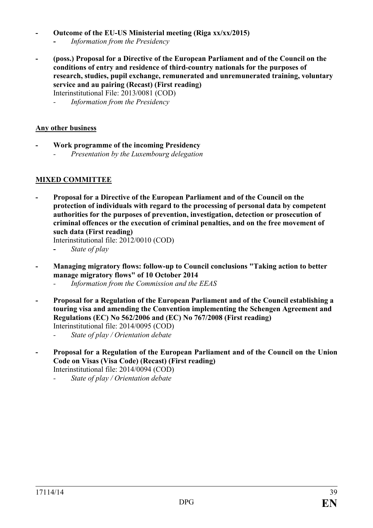### **- Outcome of the EU-US Ministerial meeting (Riga xx/xx/2015)**

- **-** *Information from the Presidency*
- **- (poss.) Proposal for a Directive of the European Parliament and of the Council on the conditions of entry and residence of third-country nationals for the purposes of research, studies, pupil exchange, remunerated and unremunerated training, voluntary service and au pairing (Recast) (First reading)** Interinstitutional File: 2013/0081 (COD)

*- Information from the Presidency*

# **Any other business**

- **- Work programme of the incoming Presidency**
	- *- Presentation by the Luxembourg delegation*

# **MIXED COMMITTEE**

**- Proposal for a Directive of the European Parliament and of the Council on the protection of individuals with regard to the processing of personal data by competent authorities for the purposes of prevention, investigation, detection or prosecution of criminal offences or the execution of criminal penalties, and on the free movement of such data (First reading)**

Interinstitutional file: 2012/0010 (COD)

- **-** *State of play*
- **- Managing migratory flows: follow-up to Council conclusions "Taking action to better manage migratory flows" of 10 October 2014**
	- *- Information from the Commission and the EEAS*
- **- Proposal for a Regulation of the European Parliament and of the Council establishing a touring visa and amending the Convention implementing the Schengen Agreement and Regulations (EC) No 562/2006 and (EC) No 767/2008 (First reading)**  Interinstitutional file: 2014/0095 (COD)

- **- Proposal for a Regulation of the European Parliament and of the Council on the Union Code on Visas (Visa Code) (Recast) (First reading)**  Interinstitutional file: 2014/0094 (COD)
	- *- State of play / Orientation debate*

*<sup>-</sup> State of play / Orientation debate*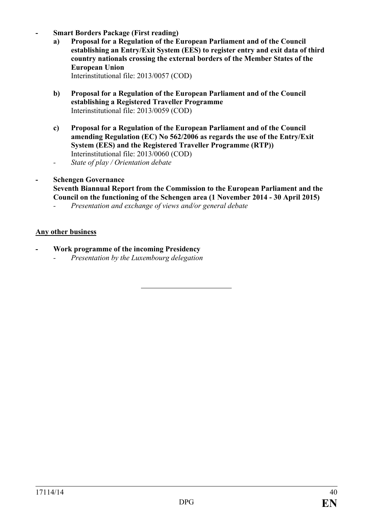- **- Smart Borders Package (First reading)**
	- **a) Proposal for a Regulation of the European Parliament and of the Council establishing an Entry/Exit System (EES) to register entry and exit data of third country nationals crossing the external borders of the Member States of the European Union**  Interinstitutional file: 2013/0057 (COD)
	- **b) Proposal for a Regulation of the European Parliament and of the Council establishing a Registered Traveller Programme**  Interinstitutional file: 2013/0059 (COD)
	- **c) Proposal for a Regulation of the European Parliament and of the Council amending Regulation (EC) No 562/2006 as regards the use of the Entry/Exit System (EES) and the Registered Traveller Programme (RTP))** Interinstitutional file: 2013/0060 (COD)
	- *- State of play / Orientation debate*

### **- Schengen Governance Seventh Biannual Report from the Commission to the European Parliament and the Council on the functioning of the Schengen area (1 November 2014 - 30 April 2015)**

*- Presentation and exchange of views and/or general debate*

# **Any other business**

- **- Work programme of the incoming Presidency**
	- *- Presentation by the Luxembourg delegation*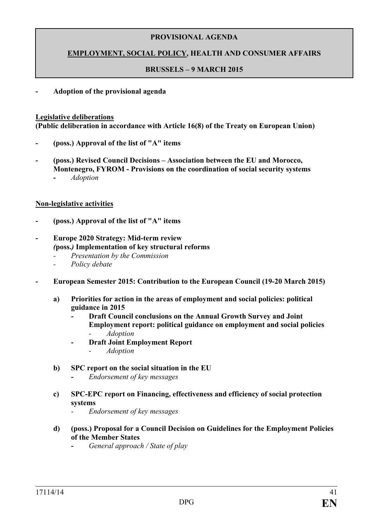# **EMPLOYMENT, SOCIAL POLICY, HEALTH AND CONSUMER AFFAIRS**

### **BRUSSELS – 9 MARCH 2015**

#### **- Adoption of the provisional agenda**

#### **Legislative deliberations**

**(Public deliberation in accordance with Article 16(8) of the Treaty on European Union)**

- **- (poss.) Approval of the list of "A" items**
- **- (poss.) Revised Council Decisions – Association between the EU and Morocco, Montenegro, FYROM - Provisions on the coordination of social security systems -** *Adoption*

### **Non-legislative activities**

- **- (poss.) Approval of the list of "A" items**
- **- Europe 2020 Strategy: Mid-term review** *(***poss.***)* **Implementation of key structural reforms**
	- *- Presentation by the Commission*
	- *- Policy debate*
- **- European Semester 2015: Contribution to the European Council (19-20 March 2015)**
	- **a) Priorities for action in the areas of employment and social policies: political guidance in 2015**
		- **- Draft Council conclusions on the Annual Growth Survey and Joint Employment report: political guidance on employment and social policies** *- Adoption*
		- **- Draft Joint Employment Report**
			- *- Adoption*
	- **b) SPC report on the social situation in the EU**
		- **-** *Endorsement of key messages*
	- **c) SPC-EPC report on Financing, effectiveness and efficiency of social protection systems**
		- *- Endorsement of key messages*
	- **d) (poss.) Proposal for a Council Decision on Guidelines for the Employment Policies of the Member States**
		- **-** *General approach / State of play*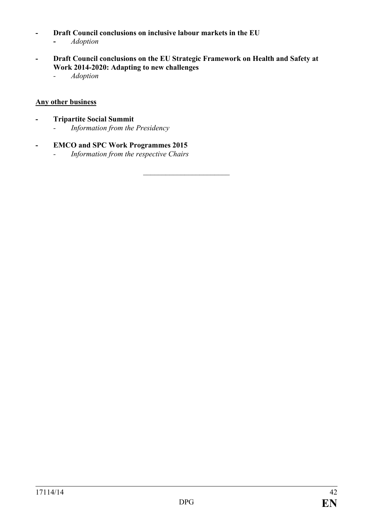- **- Draft Council conclusions on inclusive labour markets in the EU**
	- **-** *Adoption*
- **- Draft Council conclusions on the EU Strategic Framework on Health and Safety at Work 2014-2020: Adapting to new challenges**

 $\overline{\phantom{a}}$  , which is a set of the set of the set of the set of the set of the set of the set of the set of the set of the set of the set of the set of the set of the set of the set of the set of the set of the set of th

*- Adoption*

# **Any other business**

- **- Tripartite Social Summit** *- Information from the Presidency*
- **- EMCO and SPC Work Programmes 2015**
	- *- Information from the respective Chairs*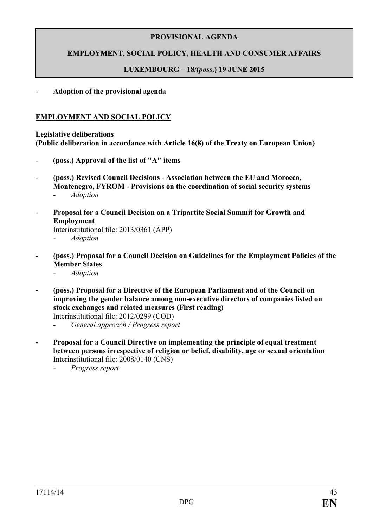# **EMPLOYMENT, SOCIAL POLICY, HEALTH AND CONSUMER AFFAIRS**

# **LUXEMBOURG – 18/(***poss***.) 19 JUNE 2015**

**- Adoption of the provisional agenda** 

# **EMPLOYMENT AND SOCIAL POLICY**

#### **Legislative deliberations**

**(Public deliberation in accordance with Article 16(8) of the Treaty on European Union)**

- **- (poss.) Approval of the list of "A" items**
- **- (poss.) Revised Council Decisions - Association between the EU and Morocco, Montenegro, FYROM - Provisions on the coordination of social security systems** *- Adoption*
- **- Proposal for a Council Decision on a Tripartite Social Summit for Growth and Employment**

Interinstitutional file: 2013/0361 (APP)

- *- Adoption*
- **- (poss.) Proposal for a Council Decision on Guidelines for the Employment Policies of the Member States**
	- *- Adoption*
- **- (poss.) Proposal for a Directive of the European Parliament and of the Council on improving the gender balance among non-executive directors of companies listed on stock exchanges and related measures (First reading)** Interinstitutional file: 2012/0299 (COD)
	- *- General approach / Progress report*
- **- Proposal for a Council Directive on implementing the principle of equal treatment between persons irrespective of religion or belief, disability, age or sexual orientation** Interinstitutional file: 2008/0140 (CNS)
	- *- Progress report*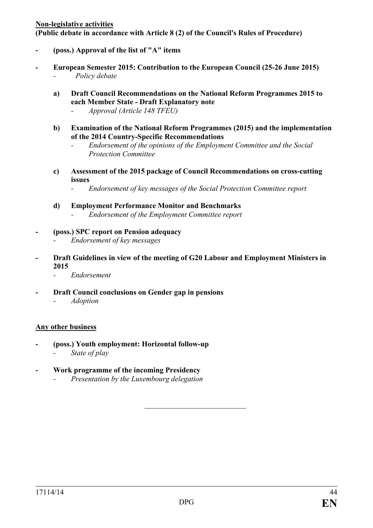#### **Non-legislative activities**

**(Public debate in accordance with Article 8 (2) of the Council's Rules of Procedure)** 

- **- (poss.) Approval of the list of "A" items**
- **- European Semester 2015: Contribution to the European Council (25-26 June 2015)** *- Policy debate*
	- **a) Draft Council Recommendations on the National Reform Programmes 2015 to each Member State - Draft Explanatory note**
		- *- Approval (Article 148 TFEU)*
	- **b) Examination of the National Reform Programmes (2015) and the implementation of the 2014 Country-Specific Recommendations** 
		- *- Endorsement of the opinions of the Employment Committee and the Social Protection Committee*
	- **c) Assessment of the 2015 package of Council Recommendations on cross-cutting issues**
		- *- Endorsement of key messages of the Social Protection Committee report*
	- **d) Employment Performance Monitor and Benchmarks** *- Endorsement of the Employment Committee report*
- **- (poss.) SPC report on Pension adequacy** *- Endorsement of key messages*
- **- Draft Guidelines in view of the meeting of G20 Labour and Employment Ministers in 2015**
	- *- Endorsement*
- **- Draft Council conclusions on Gender gap in pensions** *- Adoption*

# **Any other business**

- **- (poss.) Youth employment: Horizontal follow-up**
	- *- State of play*
- **- Work programme of the incoming Presidency**
	- *- Presentation by the Luxembourg delegation*

*\_\_\_\_\_\_\_\_\_\_\_\_\_\_\_\_\_\_\_\_\_\_\_\_\_\_\_*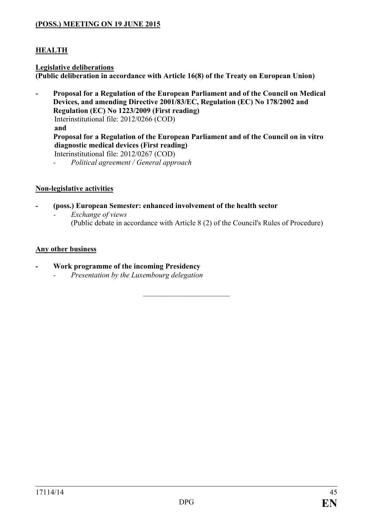# **(POSS.) MEETING ON 19 JUNE 2015**

# **HEALTH**

#### **Legislative deliberations (Public deliberation in accordance with Article 16(8) of the Treaty on European Union)**

- **- Proposal for a Regulation of the European Parliament and of the Council on Medical Devices, and amending Directive 2001/83/EC, Regulation (EC) No 178/2002 and Regulation (EC) No 1223/2009 (First reading)** Interinstitutional file: 2012/0266 (COD) **and Proposal for a Regulation of the European Parliament and of the Council on in vitro diagnostic medical devices (First reading)** Interinstitutional file: 2012/0267 (COD)
	- *- Political agreement / General approach*

# **Non-legislative activities**

- **- (poss.) European Semester: enhanced involvement of the health sector**
	- *- Exchange of views* (Public debate in accordance with Article 8 (2) of the Council's Rules of Procedure)

*\_\_\_\_\_\_\_\_\_\_\_\_\_\_\_\_\_\_\_\_\_\_\_*

# **Any other business**

- **- Work programme of the incoming Presidency**
	- *- Presentation by the Luxembourg delegation*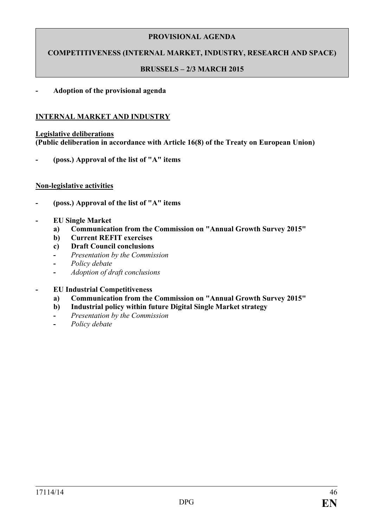# **COMPETITIVENESS (INTERNAL MARKET, INDUSTRY, RESEARCH AND SPACE)**

### **BRUSSELS – 2/3 MARCH 2015**

### **- Adoption of the provisional agenda**

#### **INTERNAL MARKET AND INDUSTRY**

#### **Legislative deliberations (Public deliberation in accordance with Article 16(8) of the Treaty on European Union)**

**- (poss.) Approval of the list of "A" items**

#### **Non-legislative activities**

- **- (poss.) Approval of the list of "A" items**
- **- EU Single Market** 
	- **a) Communication from the Commission on "Annual Growth Survey 2015"**
	- **b) Current REFIT exercises**
	- **c) Draft Council conclusions**
	- **-** *Presentation by the Commission*
	- **-** *Policy debate*
	- **-** *Adoption of draft conclusions*
- **- EU Industrial Competitiveness**
	- **a) Communication from the Commission on "Annual Growth Survey 2015"**
	- **b) Industrial policy within future Digital Single Market strategy**
	- **-** *Presentation by the Commission*
	- **-** *Policy debate*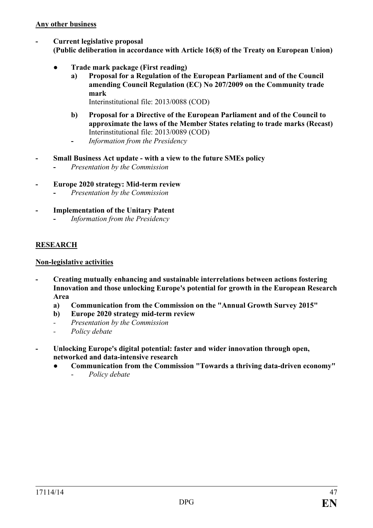- **- Current legislative proposal (Public deliberation in accordance with Article 16(8) of the Treaty on European Union)**
	- *●* **Trade mark package (First reading)**
		- **a) Proposal for a Regulation of the European Parliament and of the Council amending Council Regulation (EC) No 207/2009 on the Community trade mark** 
			- Interinstitutional file: 2013/0088 (COD)
		- **b) Proposal for a Directive of the European Parliament and of the Council to approximate the laws of the Member States relating to trade marks (Recast)**  Interinstitutional file: 2013/0089 (COD)
		- **-** *Information from the Presidency*
- **- Small Business Act update - with a view to the future SMEs policy**
	- **-** *Presentation by the Commission*
- **- Europe 2020 strategy: Mid-term review**
	- **-** *Presentation by the Commission*
- **- Implementation of the Unitary Patent -** *Information from the Presidency*

# **RESEARCH**

# **Non-legislative activities**

- **- Creating mutually enhancing and sustainable interrelations between actions fostering Innovation and those unlocking Europe's potential for growth in the European Research Area**
	- **a) Communication from the Commission on the "Annual Growth Survey 2015"**
	- **b) Europe 2020 strategy mid-term review**
	- *- Presentation by the Commission*
	- *- Policy debate*
- **- Unlocking Europe's digital potential: faster and wider innovation through open, networked and data-intensive research**
	- **● Communication from the Commission "Towards a thriving data-driven economy"**
		- *Policy debate*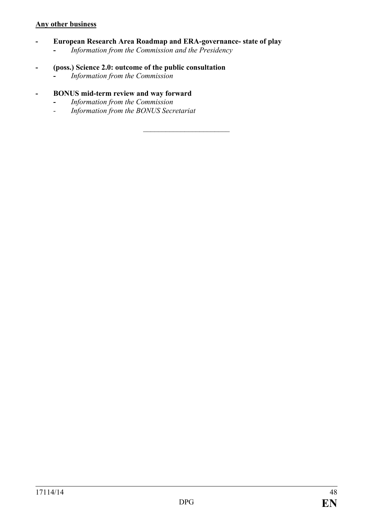### **Any other business**

**- European Research Area Roadmap and ERA-governance- state of play**

*\_\_\_\_\_\_\_\_\_\_\_\_\_\_\_\_\_\_\_\_\_\_\_*

- **-** *Information from the Commission and the Presidency*
- **- (poss.) Science 2.0: outcome of the public consultation**
	- **-** *Information from the Commission*

### **- BONUS mid-term review and way forward**

- **-** *Information from the Commission*
- *- Information from the BONUS Secretariat*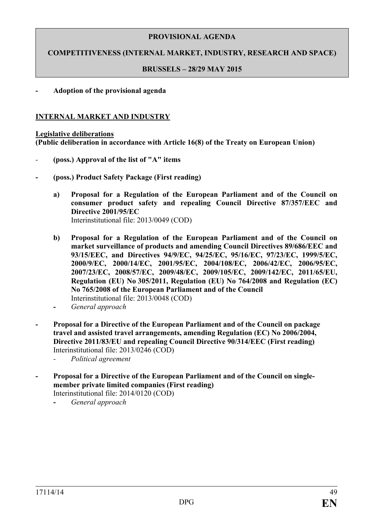**COMPETITIVENESS (INTERNAL MARKET, INDUSTRY, RESEARCH AND SPACE)**

### **BRUSSELS – 28/29 MAY 2015**

### **- Adoption of the provisional agenda**

### **INTERNAL MARKET AND INDUSTRY**

#### **Legislative deliberations (Public deliberation in accordance with Article 16(8) of the Treaty on European Union)**

- *-* **(poss.) Approval of the list of "A" items**
- **- (poss.) Product Safety Package (First reading)**
	- **a) Proposal for a Regulation of the European Parliament and of the Council on consumer product safety and repealing Council Directive 87/357/EEC and Directive 2001/95/EC**  Interinstitutional file: 2013/0049 (COD)
	- **b) Proposal for a Regulation of the European Parliament and of the Council on market surveillance of products and amending Council Directives 89/686/EEC and 93/15/EEC, and Directives 94/9/EC, 94/25/EC, 95/16/EC, 97/23/EC, 1999/5/EC, 2000/9/EC, 2000/14/EC, 2001/95/EC, 2004/108/EC, 2006/42/EC, 2006/95/EC, 2007/23/EC, 2008/57/EC, 2009/48/EC, 2009/105/EC, 2009/142/EC, 2011/65/EU, Regulation (EU) No 305/2011, Regulation (EU) No 764/2008 and Regulation (EC) No 765/2008 of the European Parliament and of the Council**  Interinstitutional file: 2013/0048 (COD)
	- **-** *General approach*
- **- Proposal for a Directive of the European Parliament and of the Council on package travel and assisted travel arrangements, amending Regulation (EC) No 2006/2004, Directive 2011/83/EU and repealing Council Directive 90/314/EEC (First reading)** Interinstitutional file: 2013/0246 (COD)
	- *- Political agreement*
- **- Proposal for a Directive of the European Parliament and of the Council on singlemember private limited companies (First reading)**  Interinstitutional file: 2014/0120 (COD)
	- **-** *General approach*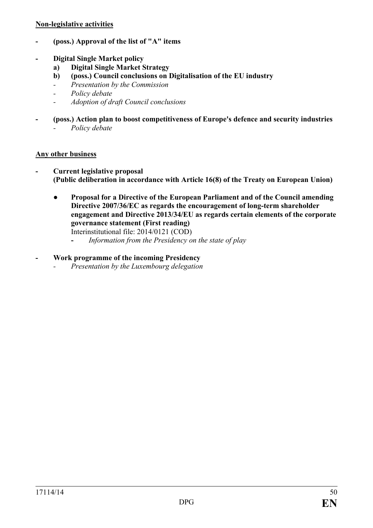### **Non-legislative activities**

- **- (poss.) Approval of the list of "A" items**
- **- Digital Single Market policy**
	- **a) Digital Single Market Strategy**
	- **b) (poss.) Council conclusions on Digitalisation of the EU industry**
	- *- Presentation by the Commission*
	- *- Policy debate*
	- *- Adoption of draft Council conclusions*
- **- (poss.) Action plan to boost competitiveness of Europe's defence and security industries**  *- Policy debate*

# **Any other business**

- **- Current legislative proposal (Public deliberation in accordance with Article 16(8) of the Treaty on European Union)**
	- *●* **Proposal for a Directive of the European Parliament and of the Council amending Directive 2007/36/EC as regards the encouragement of long-term shareholder engagement and Directive 2013/34/EU as regards certain elements of the corporate governance statement (First reading)** Interinstitutional file: 2014/0121 (COD)
		- **-** *Information from the Presidency on the state of play*

# **- Work programme of the incoming Presidency**

*- Presentation by the Luxembourg delegation*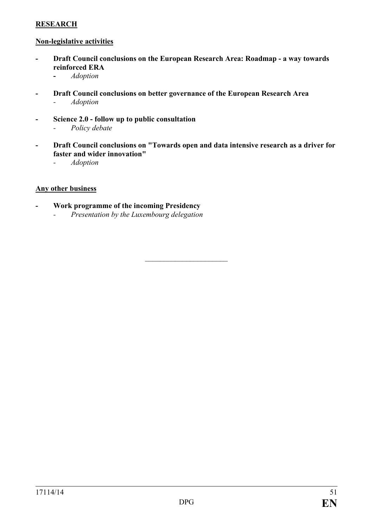# **RESEARCH**

### **Non-legislative activities**

- **- Draft Council conclusions on the European Research Area: Roadmap - a way towards reinforced ERA**
	- **-** *Adoption*
- **- Draft Council conclusions on better governance of the European Research Area** *- Adoption*
- **- Science 2.0 - follow up to public consultation** *- Policy debate*
- **- Draft Council conclusions on "Towards open and data intensive research as a driver for faster and wider innovation"**

 $\overline{\phantom{a}}$  , which is a set of the set of the set of the set of the set of the set of the set of the set of the set of the set of the set of the set of the set of the set of the set of the set of the set of the set of th

*- Adoption*

### **Any other business**

**- Work programme of the incoming Presidency** *- Presentation by the Luxembourg delegation*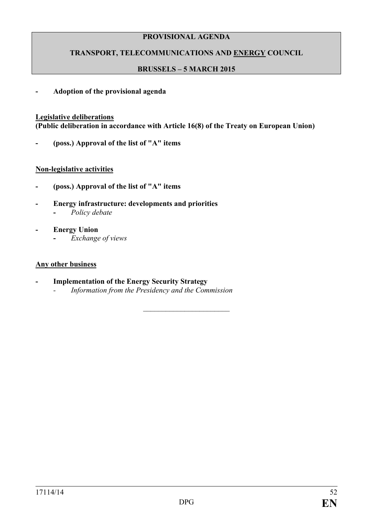# **TRANSPORT, TELECOMMUNICATIONS AND ENERGY COUNCIL**

# **BRUSSELS – 5 MARCH 2015**

### **- Adoption of the provisional agenda**

### **Legislative deliberations**

**(Public deliberation in accordance with Article 16(8) of the Treaty on European Union)**

**- (poss.) Approval of the list of "A" items**

### **Non-legislative activities**

- **- (poss.) Approval of the list of "A" items**
- **- Energy infrastructure: developments and priorities -** *Policy debate*
- **- Energy Union -** *Exchange of views*

#### **Any other business**

**- Implementation of the Energy Security Strategy** *- Information from the Presidency and the Commission*

 $\overline{\phantom{a}}$  , which is a set of the set of the set of the set of the set of the set of the set of the set of the set of the set of the set of the set of the set of the set of the set of the set of the set of the set of th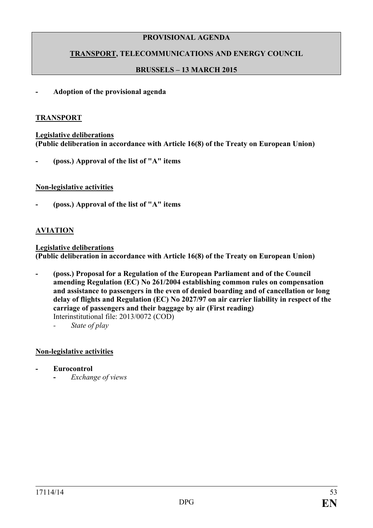# **TRANSPORT, TELECOMMUNICATIONS AND ENERGY COUNCIL**

# **BRUSSELS – 13 MARCH 2015**

#### **- Adoption of the provisional agenda**

#### **TRANSPORT**

**Legislative deliberations (Public deliberation in accordance with Article 16(8) of the Treaty on European Union)**

**- (poss.) Approval of the list of "A" items**

### **Non-legislative activities**

**- (poss.) Approval of the list of "A" items**

### **AVIATION**

**Legislative deliberations (Public deliberation in accordance with Article 16(8) of the Treaty on European Union)**

- **- (poss.) Proposal for a Regulation of the European Parliament and of the Council amending Regulation (EC) No 261/2004 establishing common rules on compensation and assistance to passengers in the even of denied boarding and of cancellation or long delay of flights and Regulation (EC) No 2027/97 on air carrier liability in respect of the carriage of passengers and their baggage by air (First reading)** Interinstitutional file: 2013/0072 (COD)
	- *- State of play*

### **Non-legislative activities**

- **- Eurocontrol**
	- **-** *Exchange of views*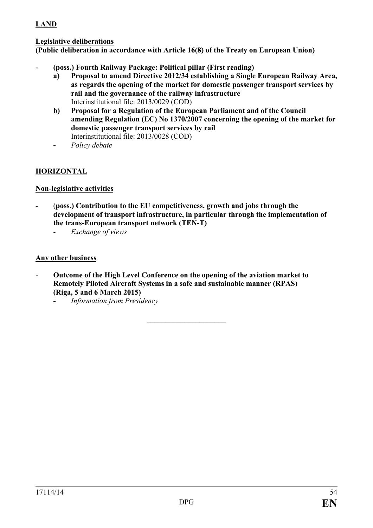# **LAND**

# **Legislative deliberations**

**(Public deliberation in accordance with Article 16(8) of the Treaty on European Union)**

- **- (poss.) Fourth Railway Package: Political pillar (First reading)**
	- **a) Proposal to amend Directive 2012/34 establishing a Single European Railway Area, as regards the opening of the market for domestic passenger transport services by rail and the governance of the railway infrastructure**  Interinstitutional file: 2013/0029 (COD)
	- **b) Proposal for a Regulation of the European Parliament and of the Council amending Regulation (EC) No 1370/2007 concerning the opening of the market for domestic passenger transport services by rail** Interinstitutional file: 2013/0028 (COD)
	- **-** *Policy debate*

# **HORIZONTAL**

# **Non-legislative activities**

- *-* (**poss.) Contribution to the EU competitiveness, growth and jobs through the development of transport infrastructure, in particular through the implementation of the trans-European transport network (TEN-T)**
	- *- Exchange of views*

### **Any other business**

*-* **Outcome of the High Level Conference on the opening of the aviation market to Remotely Piloted Aircraft Systems in a safe and sustainable manner (RPAS) (Riga, 5 and 6 March 2015)**

 $\overline{\phantom{a}}$  , and the set of the set of the set of the set of the set of the set of the set of the set of the set of the set of the set of the set of the set of the set of the set of the set of the set of the set of the s

**-** *Information from Presidency*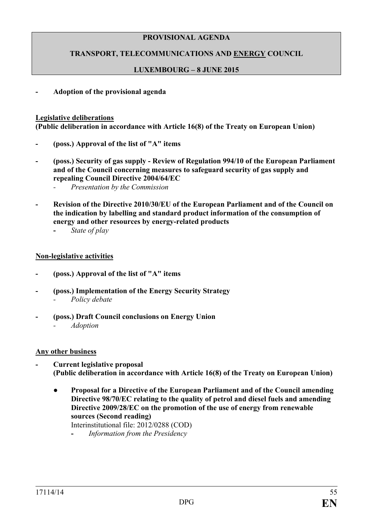# **TRANSPORT, TELECOMMUNICATIONS AND ENERGY COUNCIL**

# **LUXEMBOURG – 8 JUNE 2015**

**- Adoption of the provisional agenda**

#### **Legislative deliberations**

**(Public deliberation in accordance with Article 16(8) of the Treaty on European Union)**

- **- (poss.) Approval of the list of "A" items**
- **- (poss.) Security of gas supply - Review of Regulation 994/10 of the European Parliament and of the Council concerning measures to safeguard security of gas supply and repealing Council Directive 2004/64/EC**
	- *- Presentation by the Commission*
- **- Revision of the Directive 2010/30/EU of the European Parliament and of the Council on the indication by labelling and standard product information of the consumption of energy and other resources by energy-related products**
	- **-** *State of play*

### **Non-legislative activities**

- **- (poss.) Approval of the list of "A" items**
- **- (poss.) Implementation of the Energy Security Strategy** *- Policy debate*
- **- (poss.) Draft Council conclusions on Energy Union** *- Adoption*

### **Any other business**

- **- Current legislative proposal (Public deliberation in accordance with Article 16(8) of the Treaty on European Union)**
	- *●* **Proposal for a Directive of the European Parliament and of the Council amending Directive 98/70/EC relating to the quality of petrol and diesel fuels and amending Directive 2009/28/EC on the promotion of the use of energy from renewable sources (Second reading)**

Interinstitutional file: 2012/0288 (COD)

**-** *Information from the Presidency*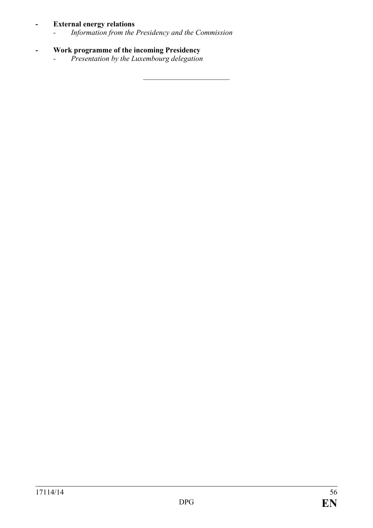# **- External energy relations**

*- Information from the Presidency and the Commission*

 $\overline{\phantom{a}}$  , which is a set of the set of the set of the set of the set of the set of the set of the set of the set of the set of the set of the set of the set of the set of the set of the set of the set of the set of th

- **- Work programme of the incoming Presidency**
	- *- Presentation by the Luxembourg delegation*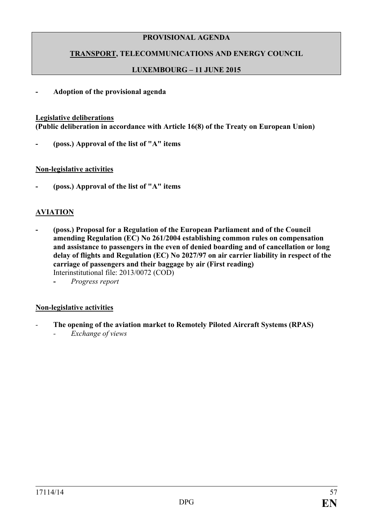# **TRANSPORT, TELECOMMUNICATIONS AND ENERGY COUNCIL**

# **LUXEMBOURG – 11 JUNE 2015**

### **- Adoption of the provisional agenda**

#### **Legislative deliberations**

**(Public deliberation in accordance with Article 16(8) of the Treaty on European Union)**

**- (poss.) Approval of the list of "A" items**

#### **Non-legislative activities**

**- (poss.) Approval of the list of "A" items**

### **AVIATION**

- **- (poss.) Proposal for a Regulation of the European Parliament and of the Council amending Regulation (EC) No 261/2004 establishing common rules on compensation and assistance to passengers in the even of denied boarding and of cancellation or long delay of flights and Regulation (EC) No 2027/97 on air carrier liability in respect of the carriage of passengers and their baggage by air (First reading)** Interinstitutional file: 2013/0072 (COD)
	- **-** *Progress report*

### **Non-legislative activities**

*-* **The opening of the aviation market to Remotely Piloted Aircraft Systems (RPAS)** *- Exchange of views*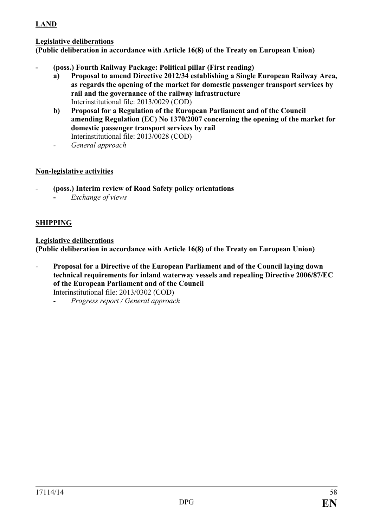# **LAND**

# **Legislative deliberations**

**(Public deliberation in accordance with Article 16(8) of the Treaty on European Union)**

- **- (poss.) Fourth Railway Package: Political pillar (First reading)**
	- **a) Proposal to amend Directive 2012/34 establishing a Single European Railway Area, as regards the opening of the market for domestic passenger transport services by rail and the governance of the railway infrastructure**  Interinstitutional file: 2013/0029 (COD)
	- **b) Proposal for a Regulation of the European Parliament and of the Council amending Regulation (EC) No 1370/2007 concerning the opening of the market for domestic passenger transport services by rail** Interinstitutional file: 2013/0028 (COD)
	- *- General approach*

# **Non-legislative activities**

- *-* **(poss.) Interim review of Road Safety policy orientations**
	- **-** *Exchange of views*

# **SHIPPING**

### **Legislative deliberations**

**(Public deliberation in accordance with Article 16(8) of the Treaty on European Union)**

- *-* **Proposal for a Directive of the European Parliament and of the Council laying down technical requirements for inland waterway vessels and repealing Directive 2006/87/EC of the European Parliament and of the Council** Interinstitutional file: 2013/0302 (COD)
	- *- Progress report / General approach*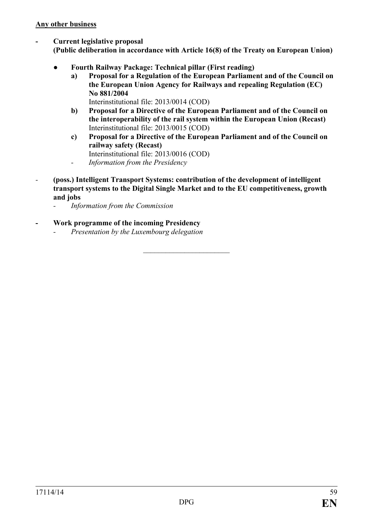**- Current legislative proposal**

**(Public deliberation in accordance with Article 16(8) of the Treaty on European Union)**

- **● Fourth Railway Package: Technical pillar (First reading)**
	- **a) Proposal for a Regulation of the European Parliament and of the Council on the European Union Agency for Railways and repealing Regulation (EC) No 881/2004**  Interinstitutional file: 2013/0014 (COD)
	- **b) Proposal for a Directive of the European Parliament and of the Council on the interoperability of the rail system within the European Union (Recast)**  Interinstitutional file: 2013/0015 (COD)
	- **c) Proposal for a Directive of the European Parliament and of the Council on railway safety (Recast)**
	- Interinstitutional file: 2013/0016 (COD)
	- *- Information from the Presidency*
- *-* **(poss.) Intelligent Transport Systems: contribution of the development of intelligent transport systems to the Digital Single Market and to the EU competitiveness, growth and jobs**

 $\overline{\phantom{a}}$  , which is a set of the set of the set of the set of the set of the set of the set of the set of the set of the set of the set of the set of the set of the set of the set of the set of the set of the set of th

- *- Information from the Commission*
- **- Work programme of the incoming Presidency**
	- *- Presentation by the Luxembourg delegation*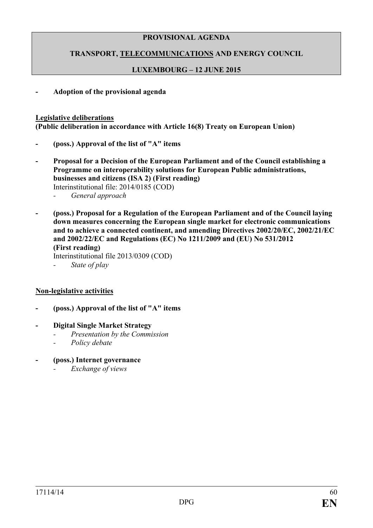# **TRANSPORT, TELECOMMUNICATIONS AND ENERGY COUNCIL**

# **LUXEMBOURG – 12 JUNE 2015**

**- Adoption of the provisional agenda**

#### **Legislative deliberations**

**(Public deliberation in accordance with Article 16(8) Treaty on European Union)**

- **- (poss.) Approval of the list of "A" items**
- **- Proposal for a Decision of the European Parliament and of the Council establishing a Programme on interoperability solutions for European Public administrations, businesses and citizens (ISA 2) (First reading)** Interinstitutional file: 2014/0185 (COD) *- General approach*
- **- (poss.) Proposal for a Regulation of the European Parliament and of the Council laying down measures concerning the European single market for electronic communications and to achieve a connected continent, and amending Directives 2002/20/EC, 2002/21/EC and 2002/22/EC and Regulations (EC) No 1211/2009 and (EU) No 531/2012 (First reading)** Interinstitutional file 2013/0309 (COD)
	- *- State of play*

### **Non-legislative activities**

- **- (poss.) Approval of the list of "A" items**
- **- Digital Single Market Strategy**
	- *- Presentation by the Commission*
	- *- Policy debate*
- **- (poss.) Internet governance**
	- *- Exchange of views*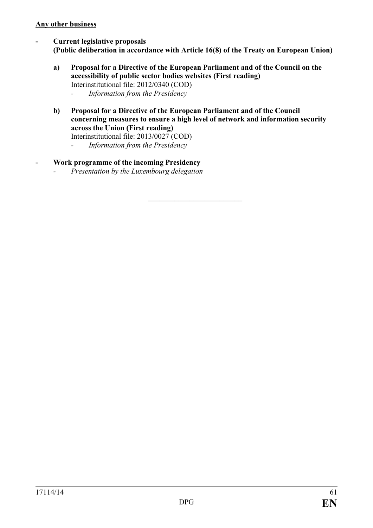### **Any other business**

- **- Current legislative proposals (Public deliberation in accordance with Article 16(8) of the Treaty on European Union)**
	- **a) Proposal for a Directive of the European Parliament and of the Council on the accessibility of public sector bodies websites (First reading)** Interinstitutional file: 2012/0340 (COD) *- Information from the Presidency*
	- **b) Proposal for a Directive of the European Parliament and of the Council concerning measures to ensure a high level of network and information security across the Union (First reading)**

Interinstitutional file: 2013/0027 (COD)

- *- Information from the Presidency*
- **- Work programme of the incoming Presidency**
	- *- Presentation by the Luxembourg delegation*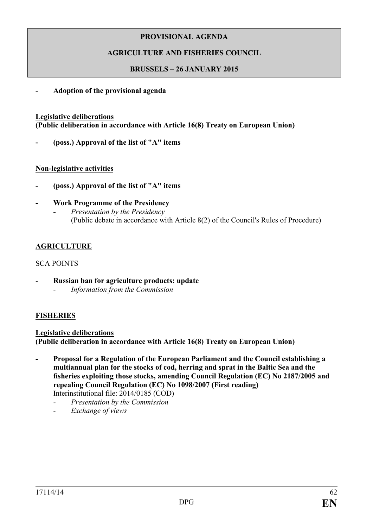# **AGRICULTURE AND FISHERIES COUNCIL**

# **BRUSSELS – 26 JANUARY 2015**

**- Adoption of the provisional agenda**

### **Legislative deliberations**

**(Public deliberation in accordance with Article 16(8) Treaty on European Union)**

**- (poss.) Approval of the list of "A" items**

# **Non-legislative activities**

- **- (poss.) Approval of the list of "A" items**
- **- Work Programme of the Presidency -** *Presentation by the Presidency* (Public debate in accordance with Article 8(2) of the Council's Rules of Procedure)

# **AGRICULTURE**

# SCA POINTS

- *-* **Russian ban for agriculture products: update**
	- *- Information from the Commission*

# **FISHERIES**

# **Legislative deliberations (Public deliberation in accordance with Article 16(8) Treaty on European Union)**

- **- Proposal for a Regulation of the European Parliament and the Council establishing a multiannual plan for the stocks of cod, herring and sprat in the Baltic Sea and the fisheries exploiting those stocks, amending Council Regulation (EC) No 2187/2005 and repealing Council Regulation (EC) No 1098/2007 (First reading)** Interinstitutional file: 2014/0185 (COD)
	- *- Presentation by the Commission*
	- *- Exchange of views*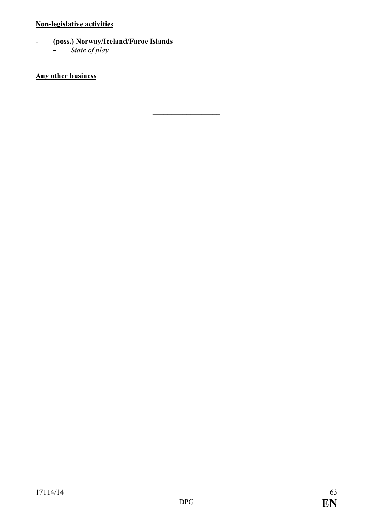# **Non-legislative activities**

- **- (poss.) Norway/Iceland/Faroe Islands**
	- **-** *State of play*

# **Any other business**

 $\frac{1}{2}$  ,  $\frac{1}{2}$  ,  $\frac{1}{2}$  ,  $\frac{1}{2}$  ,  $\frac{1}{2}$  ,  $\frac{1}{2}$  ,  $\frac{1}{2}$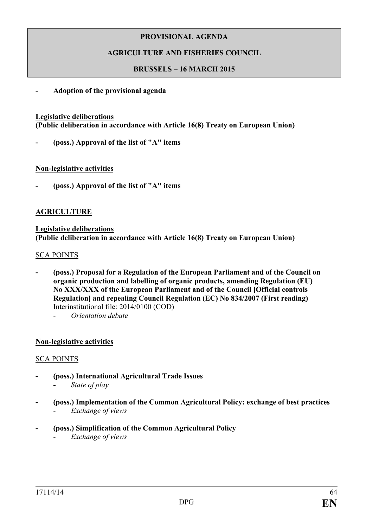# **AGRICULTURE AND FISHERIES COUNCIL**

#### **BRUSSELS – 16 MARCH 2015**

**- Adoption of the provisional agenda**

#### **Legislative deliberations**

**(Public deliberation in accordance with Article 16(8) Treaty on European Union)**

**- (poss.) Approval of the list of "A" items**

#### **Non-legislative activities**

**- (poss.) Approval of the list of "A" items**

### **AGRICULTURE**

#### **Legislative deliberations (Public deliberation in accordance with Article 16(8) Treaty on European Union)**

#### SCA POINTS

- **- (poss.) Proposal for a Regulation of the European Parliament and of the Council on organic production and labelling of organic products, amending Regulation (EU) No XXX/XXX of the European Parliament and of the Council [Official controls Regulation] and repealing Council Regulation (EC) No 834/2007 (First reading)** Interinstitutional file: 2014/0100 (COD)
	- *- Orientation debate*

### **Non-legislative activities**

#### SCA POINTS

- **- (poss.) International Agricultural Trade Issues -** *State of play*
- **- (poss.) Implementation of the Common Agricultural Policy: exchange of best practices** *- Exchange of views*
- **- (poss.) Simplification of the Common Agricultural Policy**
	- *- Exchange of views*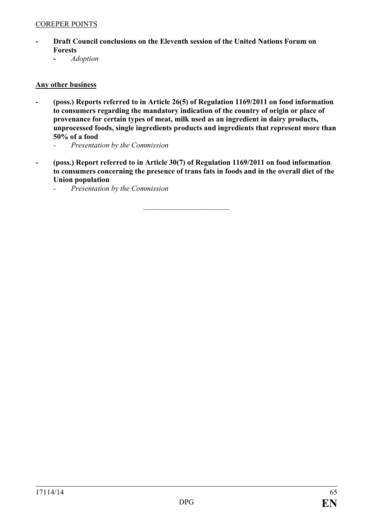### COREPER POINTS

- **- Draft Council conclusions on the Eleventh session of the United Nations Forum on Forests**
	- **-** *Adoption*

#### **Any other business**

- **- (poss.) Reports referred to in Article 26(5) of Regulation 1169/2011 on food information to consumers regarding the mandatory indication of the country of origin or place of provenance for certain types of meat, milk used as an ingredient in dairy products, unprocessed foods, single ingredients products and ingredients that represent more than 50% of a food**
	- *- Presentation by the Commission*
- **- (poss.) Report referred to in Article 30(7) of Regulation 1169/2011 on food information to consumers concerning the presence of trans fats in foods and in the overall diet of the Union population**

 $\overline{\phantom{a}}$  , which is a set of the set of the set of the set of the set of the set of the set of the set of the set of the set of the set of the set of the set of the set of the set of the set of the set of the set of th

*- Presentation by the Commission*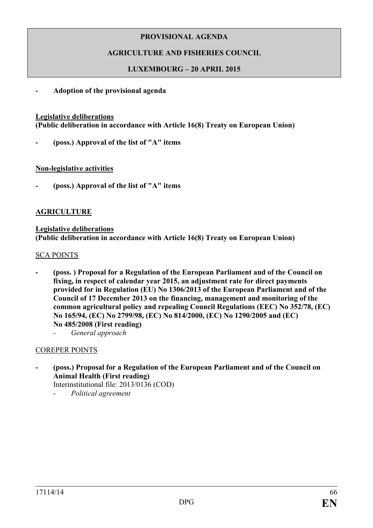# **AGRICULTURE AND FISHERIES COUNCIL**

# **LUXEMBOURG – 20 APRIL 2015**

### **- Adoption of the provisional agenda**

#### **Legislative deliberations**

**(Public deliberation in accordance with Article 16(8) Treaty on European Union)**

**- (poss.) Approval of the list of "A" items**

#### **Non-legislative activities**

**- (poss.) Approval of the list of "A" items**

### **AGRICULTURE**

#### **Legislative deliberations (Public deliberation in accordance with Article 16(8) Treaty on European Union)**

#### SCA POINTS

- **- (poss. ) Proposal for a Regulation of the European Parliament and of the Council on fixing, in respect of calendar year 2015, an adjustment rate for direct payments provided for in Regulation (EU) No 1306/2013 of the European Parliament and of the Council of 17 December 2013 on the financing, management and monitoring of the common agricultural policy and repealing Council Regulations (EEC) No 352/78, (EC) No 165/94, (EC) No 2799/98, (EC) No 814/2000, (EC) No 1290/2005 and (EC) No 485/2008 (First reading)**
	- *- General approach*

### COREPER POINTS

**- (poss.) Proposal for a Regulation of the European Parliament and of the Council on Animal Health (First reading)**

Interinstitutional file: 2013/0136 (COD)

*- Political agreement*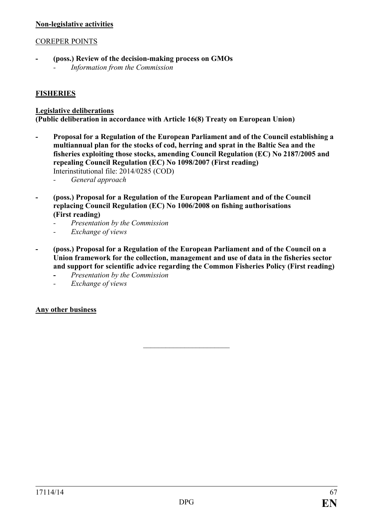### **Non-legislative activities**

### COREPER POINTS

- **- (poss.) Review of the decision-making process on GMOs**
	- *- Information from the Commission*

# **FISHERIES**

### **Legislative deliberations**

**(Public deliberation in accordance with Article 16(8) Treaty on European Union)**

- **- Proposal for a Regulation of the European Parliament and of the Council establishing a multiannual plan for the stocks of cod, herring and sprat in the Baltic Sea and the fisheries exploiting those stocks, amending Council Regulation (EC) No 2187/2005 and repealing Council Regulation (EC) No 1098/2007 (First reading)** Interinstitutional file: 2014/0285 (COD)
	- *- General approach*
- **- (poss.) Proposal for a Regulation of the European Parliament and of the Council replacing Council Regulation (EC) No 1006/2008 on fishing authorisations (First reading)**
	- *- Presentation by the Commission*
	- *- Exchange of views*
- **- (poss.) Proposal for a Regulation of the European Parliament and of the Council on a Union framework for the collection, management and use of data in the fisheries sector and support for scientific advice regarding the Common Fisheries Policy (First reading)**

 $\overline{\phantom{a}}$  , which is a set of the set of the set of the set of the set of the set of the set of the set of the set of the set of the set of the set of the set of the set of the set of the set of the set of the set of th

- **-** *Presentation by the Commission*
- *- Exchange of views*

### **Any other business**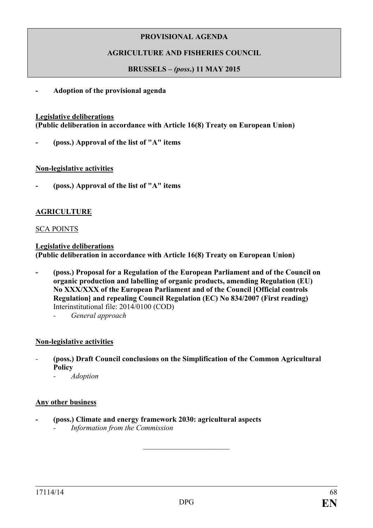# **AGRICULTURE AND FISHERIES COUNCIL**

### **BRUSSELS –** *(poss***.) 11 MAY 2015**

**- Adoption of the provisional agenda**

#### **Legislative deliberations**

**(Public deliberation in accordance with Article 16(8) Treaty on European Union)**

**- (poss.) Approval of the list of "A" items**

#### **Non-legislative activities**

**- (poss.) Approval of the list of "A" items**

### **AGRICULTURE**

#### SCA POINTS

**Legislative deliberations (Public deliberation in accordance with Article 16(8) Treaty on European Union)**

- **- (poss.) Proposal for a Regulation of the European Parliament and of the Council on organic production and labelling of organic products, amending Regulation (EU) No XXX/XXX of the European Parliament and of the Council [Official controls Regulation] and repealing Council Regulation (EC) No 834/2007 (First reading)** Interinstitutional file: 2014/0100 (COD)
	- *- General approach*

### **Non-legislative activities**

- *-* **(poss.) Draft Council conclusions on the Simplification of the Common Agricultural Policy**
	- *- Adoption*

#### **Any other business**

- **- (poss.) Climate and energy framework 2030: agricultural aspects**
	- *- Information from the Commission*

 $\overline{\phantom{a}}$  , which is a set of the set of the set of the set of the set of the set of the set of the set of the set of the set of the set of the set of the set of the set of the set of the set of the set of the set of th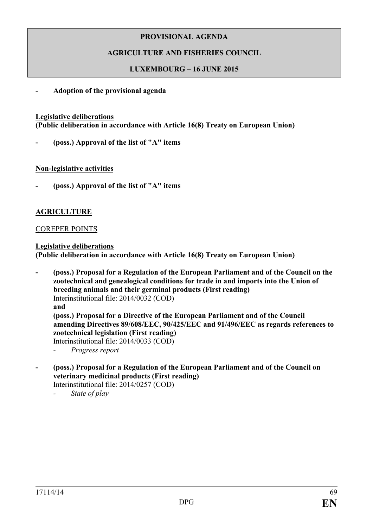# **AGRICULTURE AND FISHERIES COUNCIL**

# **LUXEMBOURG – 16 JUNE 2015**

**- Adoption of the provisional agenda**

#### **Legislative deliberations**

**(Public deliberation in accordance with Article 16(8) Treaty on European Union)**

**- (poss.) Approval of the list of "A" items**

#### **Non-legislative activities**

**- (poss.) Approval of the list of "A" items**

# **AGRICULTURE**

#### COREPER POINTS

**Legislative deliberations (Public deliberation in accordance with Article 16(8) Treaty on European Union)**

- **- (poss.) Proposal for a Regulation of the European Parliament and of the Council on the zootechnical and genealogical conditions for trade in and imports into the Union of breeding animals and their germinal products (First reading)** Interinstitutional file: 2014/0032 (COD) **and (poss.) Proposal for a Directive of the European Parliament and of the Council amending Directives 89/608/EEC, 90/425/EEC and 91/496/EEC as regards references to zootechnical legislation (First reading)** Interinstitutional file: 2014/0033 (COD)
	- *- Progress report*
- **- (poss.) Proposal for a Regulation of the European Parliament and of the Council on veterinary medicinal products (First reading)**

Interinstitutional file: 2014/0257 (COD)

*- State of play*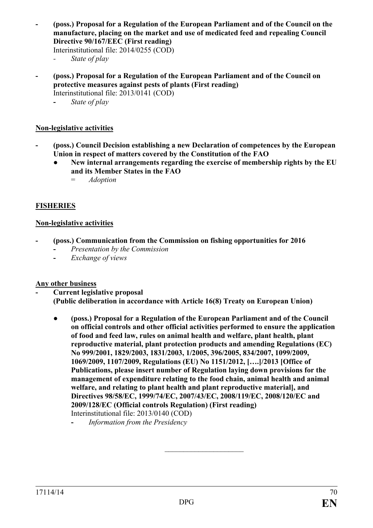**- (poss.) Proposal for a Regulation of the European Parliament and of the Council on the manufacture, placing on the market and use of medicated feed and repealing Council Directive 90/167/EEC (First reading)**

Interinstitutional file: 2014/0255 (COD)

- *- State of play*
- **- (poss.) Proposal for a Regulation of the European Parliament and of the Council on protective measures against pests of plants (First reading)** Interinstitutional file: 2013/0141 (COD)
	- **-** *State of play*

# **Non-legislative activities**

- **- (poss.) Council Decision establishing a new Declaration of competences by the European Union in respect of matters covered by the Constitution of the FAO**
	- New internal arrangements regarding the exercise of membership rights by the EU **and its Member States in the FAO**
		- = *Adoption*

# **FISHERIES**

# **Non-legislative activities**

- **- (poss.) Communication from the Commission on fishing opportunities for 2016**
	- **-** *Presentation by the Commission*
	- **-** *Exchange of views*

### **Any other business**

- **- Current legislative proposal (Public deliberation in accordance with Article 16(8) Treaty on European Union)**
	- **● (poss.) Proposal for a Regulation of the European Parliament and of the Council on official controls and other official activities performed to ensure the application of food and feed law, rules on animal health and welfare, plant health, plant reproductive material, plant protection products and amending Regulations (EC) No 999/2001, 1829/2003, 1831/2003, 1/2005, 396/2005, 834/2007, 1099/2009, 1069/2009, 1107/2009, Regulations (EU) No 1151/2012, [….]/2013 [Office of Publications, please insert number of Regulation laying down provisions for the management of expenditure relating to the food chain, animal health and animal welfare, and relating to plant health and plant reproductive material], and Directives 98/58/EC, 1999/74/EC, 2007/43/EC, 2008/119/EC, 2008/120/EC and 2009/128/EC (Official controls Regulation) (First reading)** Interinstitutional file: 2013/0140 (COD)

*\_\_\_\_\_\_\_\_\_\_\_\_\_\_\_\_\_\_\_\_\_*

**<sup>-</sup>** *Information from the Presidency*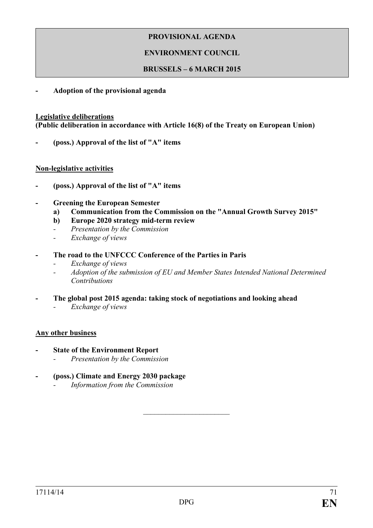# **ENVIRONMENT COUNCIL**

#### **BRUSSELS – 6 MARCH 2015**

**- Adoption of the provisional agenda**

#### **Legislative deliberations**

**(Public deliberation in accordance with Article 16(8) of the Treaty on European Union)**

**- (poss.) Approval of the list of "A" items**

#### **Non-legislative activities**

- **- (poss.) Approval of the list of "A" items**
- **- Greening the European Semester**
	- **a) Communication from the Commission on the "Annual Growth Survey 2015"**
	- **b) Europe 2020 strategy mid-term review**
	- *- Presentation by the Commission*
	- *- Exchange of views*
- **- The road to the UNFCCC Conference of the Parties in Paris**
	- *- Exchange of views*
	- *- Adoption of the submission of EU and Member States Intended National Determined Contributions*
- **- The global post 2015 agenda: taking stock of negotiations and looking ahead**
	- *- Exchange of views*

### **Any other business**

- **- State of the Environment Report**
	- *- Presentation by the Commission*
- **- (poss.) Climate and Energy 2030 package**
	- *- Information from the Commission*

 $\overline{\phantom{a}}$  , which is a set of the set of the set of the set of the set of the set of the set of the set of the set of the set of the set of the set of the set of the set of the set of the set of the set of the set of th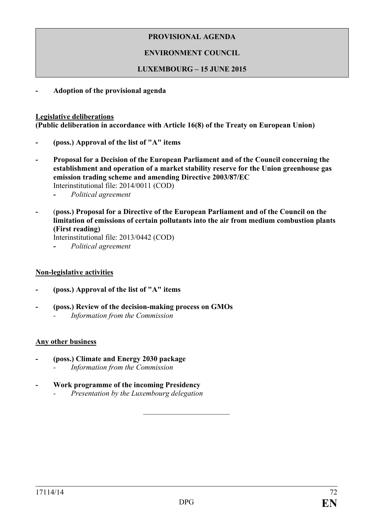# **ENVIRONMENT COUNCIL**

### **LUXEMBOURG – 15 JUNE 2015**

**- Adoption of the provisional agenda**

#### **Legislative deliberations**

**(Public deliberation in accordance with Article 16(8) of the Treaty on European Union)**

- **- (poss.) Approval of the list of "A" items**
- **- Proposal for a Decision of the European Parliament and of the Council concerning the establishment and operation of a market stability reserve for the Union greenhouse gas emission trading scheme and amending Directive 2003/87/EC** 
	- Interinstitutional file: 2014/0011 (COD)
	- **-** *Political agreement*
- **-** (**poss.) Proposal for a Directive of the European Parliament and of the Council on the limitation of emissions of certain pollutants into the air from medium combustion plants (First reading)**

Interinstitutional file: 2013/0442 (COD)

**-** *Political agreement*

### **Non-legislative activities**

- **- (poss.) Approval of the list of "A" items**
- **- (poss.) Review of the decision-making process on GMOs** *- Information from the Commission*

### **Any other business**

- **- (poss.) Climate and Energy 2030 package**
	- *- Information from the Commission*
- **- Work programme of the incoming Presidency**
	- *- Presentation by the Luxembourg delegation*

 $\overline{\phantom{a}}$  , which is a set of the set of the set of the set of the set of the set of the set of the set of the set of the set of the set of the set of the set of the set of the set of the set of the set of the set of th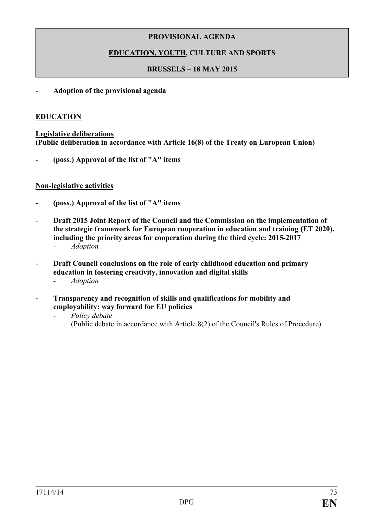## **PROVISIONAL AGENDA**

## **EDUCATION, YOUTH, CULTURE AND SPORTS**

### **BRUSSELS – 18 MAY 2015**

### **- Adoption of the provisional agenda**

### **EDUCATION**

**Legislative deliberations (Public deliberation in accordance with Article 16(8) of the Treaty on European Union)**

**- (poss.) Approval of the list of "A" items** 

### **Non-legislative activities**

- **- (poss.) Approval of the list of "A" items**
- **- Draft 2015 Joint Report of the Council and the Commission on the implementation of the strategic framework for European cooperation in education and training (ET 2020), including the priority areas for cooperation during the third cycle: 2015-2017** *- Adoption*
	-
- **- Draft Council conclusions on the role of early childhood education and primary education in fostering creativity, innovation and digital skills**
	- *- Adoption*
- **- Transparency and recognition of skills and qualifications for mobility and employability: way forward for EU policies**
	- *- Policy debate* (Public debate in accordance with Article 8(2) of the Council's Rules of Procedure)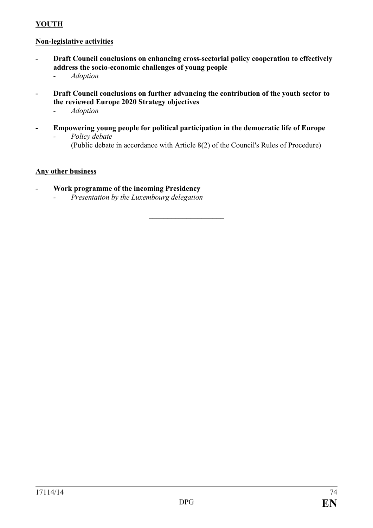# **YOUTH**

### **Non-legislative activities**

- **- Draft Council conclusions on enhancing cross-sectorial policy cooperation to effectively address the socio-economic challenges of young people**
	- *- Adoption*
- **- Draft Council conclusions on further advancing the contribution of the youth sector to the reviewed Europe 2020 Strategy objectives**
	- *- Adoption*
- **- Empowering young people for political participation in the democratic life of Europe** *- Policy debate*

 $\overline{\phantom{a}}$  , and the set of the set of the set of the set of the set of the set of the set of the set of the set of the set of the set of the set of the set of the set of the set of the set of the set of the set of the s

(Public debate in accordance with Article 8(2) of the Council's Rules of Procedure)

### **Any other business**

- **- Work programme of the incoming Presidency**
	- *- Presentation by the Luxembourg delegation*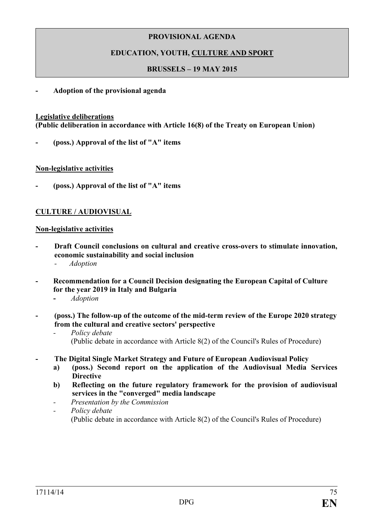### **PROVISIONAL AGENDA**

## **EDUCATION, YOUTH, CULTURE AND SPORT**

### **BRUSSELS – 19 MAY 2015**

#### **- Adoption of the provisional agenda**

#### **Legislative deliberations**

**(Public deliberation in accordance with Article 16(8) of the Treaty on European Union)**

**- (poss.) Approval of the list of "A" items** 

#### **Non-legislative activities**

**- (poss.) Approval of the list of "A" items**

### **CULTURE / AUDIOVISUAL**

#### **Non-legislative activities**

- **- Draft Council conclusions on cultural and creative cross-overs to stimulate innovation, economic sustainability and social inclusion**
	- *- Adoption*
- **- Recommendation for a Council Decision designating the European Capital of Culture for the year 2019 in Italy and Bulgaria**
	- **-** *Adoption*
- **- (poss.) The follow-up of the outcome of the mid-term review of the Europe 2020 strategy from the cultural and creative sectors' perspective** 
	- *- Policy debate* (Public debate in accordance with Article 8(2) of the Council's Rules of Procedure)
- **- The Digital Single Market Strategy and Future of European Audiovisual Policy**
	- **a) (poss.) Second report on the application of the Audiovisual Media Services Directive**
	- **b) Reflecting on the future regulatory framework for the provision of audiovisual services in the "converged" media landscape**
	- *- Presentation by the Commission*
	- *- Policy debate* (Public debate in accordance with Article 8(2) of the Council's Rules of Procedure)